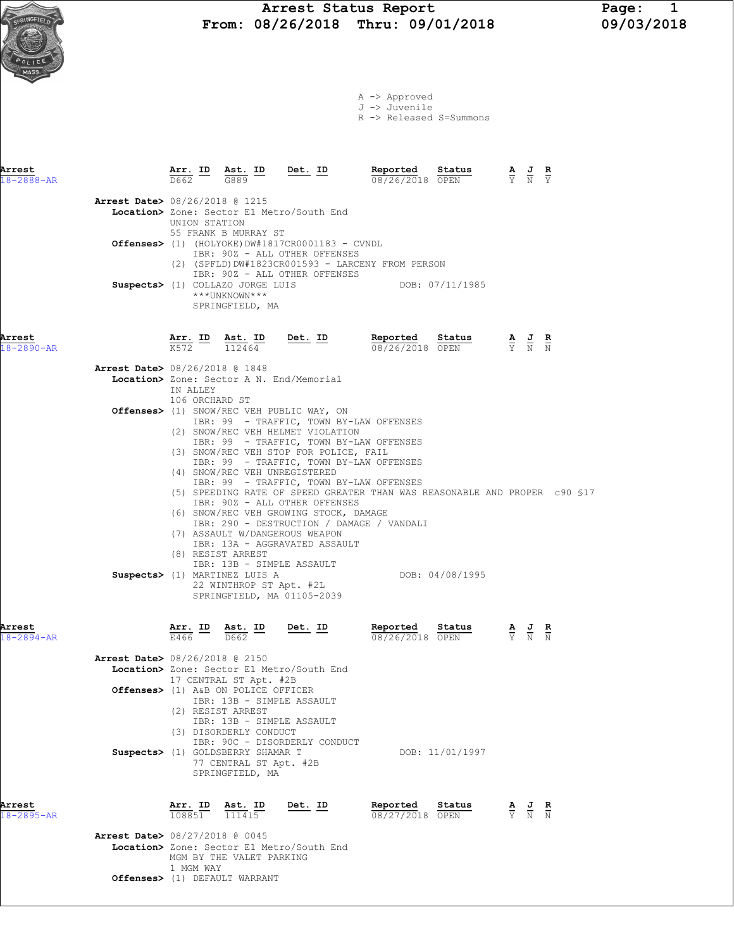Arrest Status Report Page: 1<br>08/26/2018 Thru: 09/01/2018 09/03/2018 From: 08/26/2018 Thru: 09/01/2018

|                            |                                                                                                                    |                   |                                                                       |         |                                                                                                                                                                             | A -> Approved<br>J -> Juvenile<br>R -> Released S=Summons                                                                                                          |                      |                                                                                                       |  |
|----------------------------|--------------------------------------------------------------------------------------------------------------------|-------------------|-----------------------------------------------------------------------|---------|-----------------------------------------------------------------------------------------------------------------------------------------------------------------------------|--------------------------------------------------------------------------------------------------------------------------------------------------------------------|----------------------|-------------------------------------------------------------------------------------------------------|--|
| Arrest<br>$18 - 2888 - AR$ |                                                                                                                    |                   | Arr. ID Ast. ID<br>$\overline{D662}$ $\overline{G889}$                |         | Det. ID                                                                                                                                                                     | Reported<br>08/26/2018 OPEN                                                                                                                                        | <b>Sta<u>tus</u></b> | $\frac{\mathbf{A}}{\overline{Y}}$ $\frac{\mathbf{J}}{\overline{N}}$ $\frac{\mathbf{R}}{\overline{Y}}$ |  |
|                            | <b>Arrest Date&gt; 08/26/2018 @ 1215</b><br>Location> Zone: Sector E1 Metro/South End                              |                   | UNION STATION                                                         |         |                                                                                                                                                                             |                                                                                                                                                                    |                      |                                                                                                       |  |
|                            | Offenses> (1) (HOLYOKE)DW#1817CR0001183 - CVNDL                                                                    |                   | 55 FRANK B MURRAY ST                                                  |         | IBR: 90Z - ALL OTHER OFFENSES                                                                                                                                               | (2) (SPFLD)DW#1823CR001593 - LARCENY FROM PERSON                                                                                                                   |                      |                                                                                                       |  |
|                            | Suspects> (1) COLLAZO JORGE LUIS                                                                                   |                   | ***UNKNOWN***<br>SPRINGFIELD, MA                                      |         | IBR: 90Z - ALL OTHER OFFENSES                                                                                                                                               |                                                                                                                                                                    | DOB: 07/11/1985      |                                                                                                       |  |
| Arrest<br>$18 - 2890 - AR$ |                                                                                                                    |                   | $\frac{\text{Arr.}}{K572}$ ID $\frac{\text{Ast.}}{112464}$            |         | $Det. ID$                                                                                                                                                                   | Reported<br>$08/26/2018$ OPEN                                                                                                                                      | Status               | $\frac{\mathbf{A}}{\mathbf{Y}}$ $\frac{\mathbf{J}}{\mathbf{N}}$ $\frac{\mathbf{R}}{\mathbf{N}}$       |  |
|                            | <b>Arrest Date&gt; 08/26/2018 @ 1848</b><br>Location> Zone: Sector A N. End/Memorial                               | IN ALLEY          | 106 ORCHARD ST                                                        |         |                                                                                                                                                                             |                                                                                                                                                                    |                      |                                                                                                       |  |
|                            | Offenses> (1) SNOW/REC VEH PUBLIC WAY, ON                                                                          |                   |                                                                       |         | (2) SNOW/REC VEH HELMET VIOLATION<br>(3) SNOW/REC VEH STOP FOR POLICE, FAIL                                                                                                 | IBR: 99 - TRAFFIC, TOWN BY-LAW OFFENSES<br>IBR: 99 - TRAFFIC, TOWN BY-LAW OFFENSES<br>IBR: 99 - TRAFFIC, TOWN BY-LAW OFFENSES                                      |                      |                                                                                                       |  |
|                            |                                                                                                                    |                   | (8) RESIST ARREST                                                     |         | (4) SNOW/REC VEH UNREGISTERED<br>IBR: 90Z - ALL OTHER OFFENSES<br>(6) SNOW/REC VEH GROWING STOCK, DAMAGE<br>(7) ASSAULT W/DANGEROUS WEAPON<br>IBR: 13A - AGGRAVATED ASSAULT | IBR: 99 - TRAFFIC, TOWN BY-LAW OFFENSES<br>(5) SPEEDING RATE OF SPEED GREATER THAN WAS REASONABLE AND PROPER c90 \$17<br>IBR: 290 - DESTRUCTION / DAMAGE / VANDALI |                      |                                                                                                       |  |
|                            | Suspects> (1) MARTINEZ LUIS A                                                                                      |                   |                                                                       |         | IBR: 13B - SIMPLE ASSAULT<br>22 WINTHROP ST Apt. #2L<br>SPRINGFIELD, MA 01105-2039                                                                                          |                                                                                                                                                                    | DOB: 04/08/1995      |                                                                                                       |  |
| Arrest<br>$18 - 2894 - AR$ |                                                                                                                    | E466              | <u>Arr. ID Ast. ID</u><br>D662                                        |         | <u>Det. ID</u>                                                                                                                                                              | Reported<br>08/26/2018 OPEN                                                                                                                                        | Status               | $\frac{\mathbf{A}}{\mathbf{Y}}$ $\frac{\mathbf{J}}{\mathbf{N}}$ $\frac{\mathbf{R}}{\mathbf{N}}$       |  |
|                            | Arrest Date> 08/26/2018 @ 2150<br>Location> Zone: Sector E1 Metro/South End<br>Offenses> (1) A&B ON POLICE OFFICER |                   | 17 CENTRAL ST Apt. #2B<br>(2) RESIST ARREST<br>(3) DISORDERLY CONDUCT |         | IBR: 13B - SIMPLE ASSAULT<br>IBR: 13B - SIMPLE ASSAULT                                                                                                                      |                                                                                                                                                                    |                      |                                                                                                       |  |
|                            | Suspects> (1) GOLDSBERRY SHAMAR T                                                                                  |                   | SPRINGFIELD, MA                                                       |         | IBR: 90C - DISORDERLY CONDUCT<br>77 CENTRAL ST Apt. #2B                                                                                                                     |                                                                                                                                                                    | DOB: 11/01/1997      |                                                                                                       |  |
| Arrest<br>18-2895-AR       | <b>Arrest Date&gt; 08/27/2018 @ 0045</b>                                                                           | Arr. ID<br>108851 | 111415                                                                | Ast. ID | Det. ID                                                                                                                                                                     | Reported<br>08/27/2018 OPEN                                                                                                                                        | Status               | $\frac{\mathbf{A}}{\overline{Y}}$ $\frac{\mathbf{J}}{\overline{N}}$ $\frac{\mathbf{R}}{\overline{N}}$ |  |
|                            | Location> Zone: Sector E1 Metro/South End                                                                          |                   | MGM BY THE VALET PARKING                                              |         |                                                                                                                                                                             |                                                                                                                                                                    |                      |                                                                                                       |  |

1 MGM WAY

Offenses> (1) DEFAULT WARRANT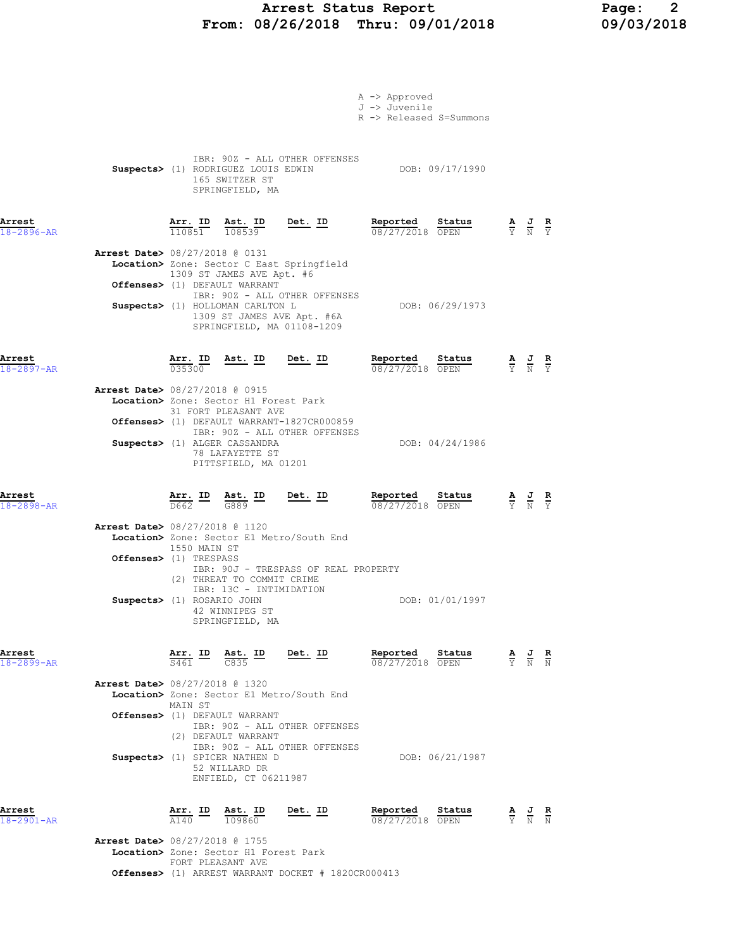# Arrest Status Report Page: 2 From: 08/26/2018 Thru: 09/01/2018

|                            |                                                                |                                          |                                                                                                                                           |                                                                                           | A -> Approved<br>J -> Juvenile<br>R -> Released S=Summons |                 |                                                                                                       |  |
|----------------------------|----------------------------------------------------------------|------------------------------------------|-------------------------------------------------------------------------------------------------------------------------------------------|-------------------------------------------------------------------------------------------|-----------------------------------------------------------|-----------------|-------------------------------------------------------------------------------------------------------|--|
|                            |                                                                |                                          | Suspects> (1) RODRIGUEZ LOUIS EDWIN<br>165 SWITZER ST<br>SPRINGFIELD, MA                                                                  | IBR: 90Z - ALL OTHER OFFENSES                                                             |                                                           | DOB: 09/17/1990 |                                                                                                       |  |
| Arrest<br>$18 - 2896 - AR$ |                                                                |                                          |                                                                                                                                           | $\frac{\texttt{Arr. ID}}{110851}$ $\frac{\texttt{ Ast. ID}}{108539}$ Det. ID              | Reported Status<br>08/27/2018 OPEN                        |                 | $\frac{\mathbf{A}}{\overline{Y}}$ $\frac{\mathbf{J}}{\overline{N}}$ $\frac{\mathbf{R}}{\overline{Y}}$ |  |
|                            | Arrest Date> 08/27/2018 @ 0131                                 |                                          | 1309 ST JAMES AVE Apt. #6                                                                                                                 | Location> Zone: Sector C East Springfield                                                 |                                                           |                 |                                                                                                       |  |
|                            |                                                                |                                          | Offenses> (1) DEFAULT WARRANT<br>Suspects> (1) HOLLOMAN CARLTON L                                                                         | IBR: 90Z - ALL OTHER OFFENSES<br>1309 ST JAMES AVE Apt. #6A<br>SPRINGFIELD, MA 01108-1209 |                                                           | DOB: 06/29/1973 |                                                                                                       |  |
| Arrest<br>$18 - 2897 - AR$ |                                                                | $\frac{\text{Arr.}}{035300}$             |                                                                                                                                           | <u>Ast. ID Det. ID</u>                                                                    | Reported<br>08/27/2018 OPEN                               | Status          | $\frac{\mathbf{A}}{\mathbf{Y}}$ $\frac{\mathbf{J}}{\mathbf{N}}$ $\frac{\mathbf{R}}{\mathbf{Y}}$       |  |
|                            | Arrest Date> 08/27/2018 @ 0915                                 |                                          | Location> Zone: Sector H1 Forest Park<br>31 FORT PLEASANT AVE<br>Suspects> (1) ALGER CASSANDRA<br>78 LAFAYETTE ST<br>PITTSFIELD, MA 01201 | Offenses> (1) DEFAULT WARRANT-1827CR000859<br>IBR: 90Z - ALL OTHER OFFENSES               |                                                           | DOB: 04/24/1986 |                                                                                                       |  |
| Arrest<br>$18 - 2898 - AR$ |                                                                | $\frac{\texttt{Arr.}}{\texttt{D662}}$ ID | $\frac{\text{Ast.}}{\text{G889}}$ ID                                                                                                      | Det. ID                                                                                   | Reported<br>08/27/2018 OPEN                               | Status          | $\frac{\mathbf{A}}{\mathbf{Y}}$ $\frac{\mathbf{J}}{\mathbf{N}}$ $\frac{\mathbf{R}}{\mathbf{Y}}$       |  |
|                            | <b>Arrest Date&gt;</b> 08/27/2018 @ 1120                       | 1550 MAIN ST                             |                                                                                                                                           | Location> Zone: Sector E1 Metro/South End                                                 |                                                           |                 |                                                                                                       |  |
|                            | <b>Offenses&gt;</b> (1) TRESPASS<br>Suspects> (1) ROSARIO JOHN |                                          | (2) THREAT TO COMMIT CRIME<br>IBR: 13C - INTIMIDATION<br>42 WINNIPEG ST<br>SPRINGFIELD, MA                                                | IBR: 90J - TRESPASS OF REAL PROPERTY                                                      |                                                           | DOB: 01/01/1997 |                                                                                                       |  |
| Arrest<br>$18 - 2899 - AR$ |                                                                | $\overline{s461}$ $\overline{c835}$      | Arr. ID Ast. ID                                                                                                                           | Det. ID                                                                                   | Reported Status<br>08/27/2018 OPEN                        |                 | $\frac{\mathbf{A}}{\mathbf{Y}}$ $\frac{\mathbf{J}}{\mathbf{N}}$ $\frac{\mathbf{R}}{\mathbf{N}}$       |  |
|                            | <b>Arrest Date&gt; 08/27/2018 @ 1320</b>                       | MAIN ST                                  | Offenses> (1) DEFAULT WARRANT<br>(2) DEFAULT WARRANT                                                                                      | Location> Zone: Sector E1 Metro/South End<br>IBR: 90Z - ALL OTHER OFFENSES                |                                                           |                 |                                                                                                       |  |
|                            |                                                                |                                          | Suspects> (1) SPICER NATHEN D<br>52 WILLARD DR<br>ENFIELD, CT 06211987                                                                    | IBR: 90Z - ALL OTHER OFFENSES                                                             |                                                           | DOB: 06/21/1987 |                                                                                                       |  |
| Arrest<br>18-2901-AR       |                                                                | $\overline{A140}$                        | <u>Arr. ID Ast. ID</u><br>109860                                                                                                          | Det. ID                                                                                   | Reported<br>08/27/2018 OPEN                               | Status          | $\frac{\mathbf{A}}{\mathbf{Y}}$ $\frac{\mathbf{J}}{\mathbf{N}}$ $\frac{\mathbf{R}}{\mathbf{N}}$       |  |
|                            | <b>Arrest Date&gt; 08/27/2018 @ 1755</b>                       |                                          |                                                                                                                                           |                                                                                           |                                                           |                 |                                                                                                       |  |

Location> Zone: Sector H1 Forest Park FORT PLEASANT AVE Offenses> (1) ARREST WARRANT DOCKET # 1820CR000413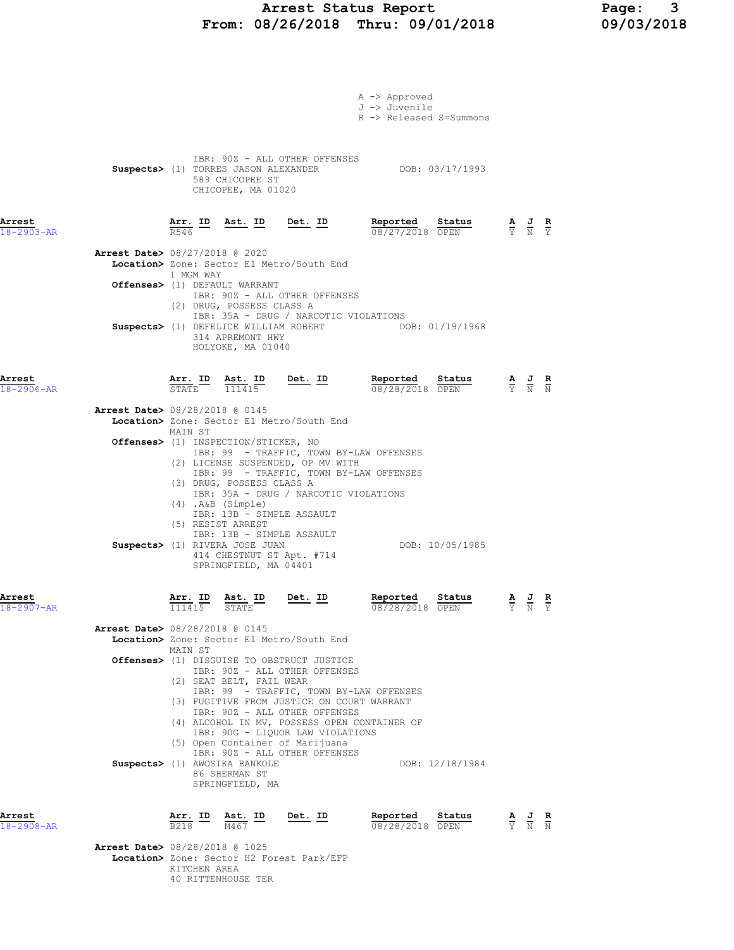# Arrest Status Report Page: 3<br>08/26/2018 Thru: 09/01/2018 09/03/2018 From: 08/26/2018 Thru: 09/01/2018

|                      |                                          |                                                   |                                                             |                                                                                       | A -> Approved                                         |                 |                                                                                                       |   |
|----------------------|------------------------------------------|---------------------------------------------------|-------------------------------------------------------------|---------------------------------------------------------------------------------------|-------------------------------------------------------|-----------------|-------------------------------------------------------------------------------------------------------|---|
|                      |                                          |                                                   |                                                             |                                                                                       | J -> Juvenile                                         |                 |                                                                                                       |   |
|                      |                                          |                                                   |                                                             |                                                                                       | R -> Released S=Summons                               |                 |                                                                                                       |   |
|                      |                                          |                                                   |                                                             |                                                                                       |                                                       |                 |                                                                                                       |   |
|                      |                                          |                                                   | Suspects> (1) TORRES JASON ALEXANDER                        | IBR: 90Z - ALL OTHER OFFENSES                                                         | DOB: 03/17/1993                                       |                 |                                                                                                       |   |
|                      |                                          |                                                   | 589 CHICOPEE ST                                             |                                                                                       |                                                       |                 |                                                                                                       |   |
|                      |                                          |                                                   | CHICOPEE, MA 01020                                          |                                                                                       |                                                       |                 |                                                                                                       |   |
| Arrest               |                                          | $\frac{\text{Arr.}}{\text{--}}$ ID                | Ast. ID                                                     | <u>Det.</u> ID                                                                        | Reported                                              | Status          |                                                                                                       |   |
| 18-2903-AR           |                                          | R546                                              |                                                             |                                                                                       | 08/27/2018 OPEN                                       |                 | $\frac{\mathbf{A}}{\mathbf{Y}}$ $\frac{\mathbf{J}}{\mathbf{N}}$ $\frac{\mathbf{R}}{\mathbf{Y}}$       |   |
|                      | <b>Arrest Date&gt;</b> 08/27/2018 @ 2020 |                                                   |                                                             |                                                                                       |                                                       |                 |                                                                                                       |   |
|                      |                                          | 1 MGM WAY                                         |                                                             | Location> Zone: Sector E1 Metro/South End                                             |                                                       |                 |                                                                                                       |   |
|                      |                                          |                                                   | Offenses> (1) DEFAULT WARRANT                               |                                                                                       |                                                       |                 |                                                                                                       |   |
|                      |                                          |                                                   | (2) DRUG, POSSESS CLASS A                                   | IBR: 90Z - ALL OTHER OFFENSES                                                         |                                                       |                 |                                                                                                       |   |
|                      |                                          |                                                   |                                                             | IBR: 35A - DRUG / NARCOTIC VIOLATIONS                                                 | Suspects> (1) DEFELICE WILLIAM ROBERT DOB: 01/19/1968 |                 |                                                                                                       |   |
|                      |                                          |                                                   | 314 APREMONT HWY<br>HOLYOKE, MA 01040                       |                                                                                       |                                                       |                 |                                                                                                       |   |
|                      |                                          |                                                   |                                                             |                                                                                       |                                                       |                 |                                                                                                       |   |
| Arrest               |                                          |                                                   | Arr. ID Ast. ID                                             | Det. ID                                                                               | Reported                                              | Status          |                                                                                                       |   |
| $18 - 2906 - AR$     |                                          | STATE 111415                                      |                                                             |                                                                                       | 08/28/2018 OPEN                                       |                 | $\frac{\mathbf{A}}{\overline{Y}}$ $\frac{\mathbf{J}}{\overline{N}}$ $\frac{\mathbf{R}}{\overline{N}}$ |   |
|                      | <b>Arrest Date&gt;</b> 08/28/2018 @ 0145 |                                                   |                                                             |                                                                                       |                                                       |                 |                                                                                                       |   |
|                      |                                          | MAIN ST                                           |                                                             | Location> Zone: Sector E1 Metro/South End                                             |                                                       |                 |                                                                                                       |   |
|                      |                                          |                                                   | <b>Offenses&gt;</b> (1) INSPECTION/STICKER, NO              | IBR: 99 - TRAFFIC, TOWN BY-LAW OFFENSES                                               |                                                       |                 |                                                                                                       |   |
|                      |                                          |                                                   |                                                             | (2) LICENSE SUSPENDED, OP MV WITH<br>IBR: 99 - TRAFFIC, TOWN BY-LAW OFFENSES          |                                                       |                 |                                                                                                       |   |
|                      |                                          |                                                   | (3) DRUG, POSSESS CLASS A                                   |                                                                                       |                                                       |                 |                                                                                                       |   |
|                      |                                          |                                                   | (4) .A&B (Simple)                                           | IBR: 35A - DRUG / NARCOTIC VIOLATIONS                                                 |                                                       |                 |                                                                                                       |   |
|                      |                                          |                                                   | IBR: 13B - SIMPLE ASSAULT<br>(5) RESIST ARREST              |                                                                                       |                                                       |                 |                                                                                                       |   |
|                      |                                          |                                                   | IBR: 13B - SIMPLE ASSAULT                                   |                                                                                       |                                                       | DOB: 10/05/1985 |                                                                                                       |   |
|                      |                                          |                                                   | Suspects> (1) RIVERA JOSE JUAN<br>414 CHESTNUT ST Apt. #714 |                                                                                       |                                                       |                 |                                                                                                       |   |
|                      |                                          |                                                   | SPRINGFIELD, MA 04401                                       |                                                                                       |                                                       |                 |                                                                                                       |   |
| Arrest               |                                          | Arr. ID                                           | Ast. ID                                                     | Det. ID                                                                               | Reported                                              | Status          | $\underline{A}$ $\underline{J}$                                                                       | R |
| 18-2907-AR           |                                          | 111415                                            | STATE                                                       |                                                                                       | 08/28/2018 OPEN                                       |                 | Y N Y                                                                                                 |   |
|                      | <b>Arrest Date&gt; 08/28/2018 @ 0145</b> |                                                   |                                                             |                                                                                       |                                                       |                 |                                                                                                       |   |
|                      |                                          | MAIN ST                                           |                                                             | Location> Zone: Sector E1 Metro/South End                                             |                                                       |                 |                                                                                                       |   |
|                      |                                          |                                                   |                                                             | <b>Offenses&gt;</b> (1) DISGUISE TO OBSTRUCT JUSTICE                                  |                                                       |                 |                                                                                                       |   |
|                      |                                          |                                                   | (2) SEAT BELT, FAIL WEAR                                    | IBR: 90Z - ALL OTHER OFFENSES                                                         |                                                       |                 |                                                                                                       |   |
|                      |                                          |                                                   |                                                             | IBR: 99 - TRAFFIC, TOWN BY-LAW OFFENSES<br>(3) FUGITIVE FROM JUSTICE ON COURT WARRANT |                                                       |                 |                                                                                                       |   |
|                      |                                          |                                                   |                                                             | IBR: 90Z - ALL OTHER OFFENSES<br>(4) ALCOHOL IN MV, POSSESS OPEN CONTAINER OF         |                                                       |                 |                                                                                                       |   |
|                      |                                          |                                                   |                                                             | IBR: 90G - LIQUOR LAW VIOLATIONS                                                      |                                                       |                 |                                                                                                       |   |
|                      |                                          |                                                   |                                                             | (5) Open Container of Marijuana<br>IBR: 90Z - ALL OTHER OFFENSES                      |                                                       |                 |                                                                                                       |   |
|                      |                                          |                                                   | Suspects> (1) AWOSIKA BANKOLE<br>86 SHERMAN ST              |                                                                                       |                                                       | DOB: 12/18/1984 |                                                                                                       |   |
|                      |                                          |                                                   | SPRINGFIELD, MA                                             |                                                                                       |                                                       |                 |                                                                                                       |   |
|                      |                                          |                                                   |                                                             |                                                                                       |                                                       |                 |                                                                                                       |   |
| Arrest<br>18-2908-AR |                                          | $\frac{\text{Arr.}}{\text{L}}$ ID Ast. ID<br>B218 | M467                                                        | Det. ID                                                                               | Reported<br>08/28/2018 OPEN                           | Status          | $\frac{\mathbf{A}}{\mathbf{Y}}$ $\frac{\mathbf{J}}{\mathbf{N}}$ $\frac{\mathbf{R}}{\mathbf{N}}$       |   |
|                      | <b>Arrest Date&gt;</b> 08/28/2018 @ 1025 |                                                   |                                                             |                                                                                       |                                                       |                 |                                                                                                       |   |
|                      |                                          | גססג ווסטרידא                                     |                                                             | Location> Zone: Sector H2 Forest Park/EFP                                             |                                                       |                 |                                                                                                       |   |

 KITCHEN AREA 40 RITTENHOUSE TER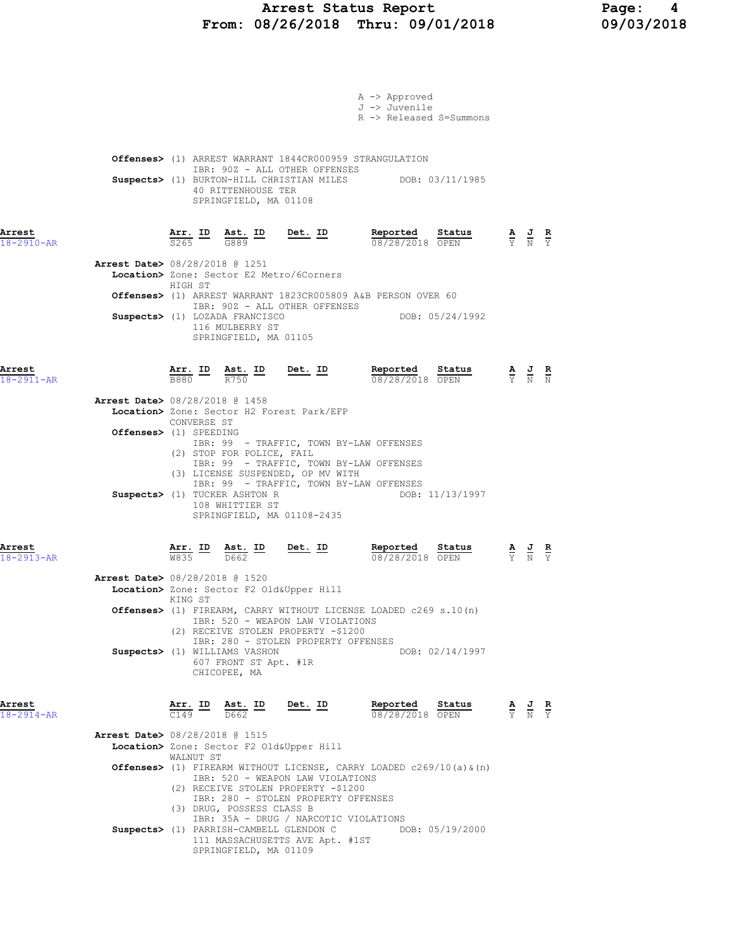# Arrest Status Report 1894 Page: 4<br>18/26/2018 Thru: 09/01/2018 19/03/2018 From: 08/26/2018 Thru: 09/01/2018

|                            |                                                                                                                |                                             |                                                                                           | A -> Approved<br>J -> Juvenile<br>R -> Released S=Summons                                                                      |                 |                                                                                                 |  |
|----------------------------|----------------------------------------------------------------------------------------------------------------|---------------------------------------------|-------------------------------------------------------------------------------------------|--------------------------------------------------------------------------------------------------------------------------------|-----------------|-------------------------------------------------------------------------------------------------|--|
|                            |                                                                                                                | 40 RITTENHOUSE TER<br>SPRINGFIELD, MA 01108 | IBR: 90Z - ALL OTHER OFFENSES                                                             | <b>Offenses&gt;</b> (1) ARREST WARRANT 1844CR000959 STRANGULATION<br>Suspects> (1) BURTON-HILL CHRISTIAN MILES DOB: 03/11/1985 |                 |                                                                                                 |  |
| Arrest<br>$18 - 2910 - AR$ |                                                                                                                |                                             | $\frac{\texttt{Arr.}}{\texttt{S265}}$ ID $\frac{\texttt{Ast.}}{\texttt{G889}}$ ID Det. ID | <b>Reported Status A J R</b><br>$\frac{0.8728}{0.0128}$ OPEN $\frac{1}{2}$ N Y                                                 |                 |                                                                                                 |  |
|                            | <b>Arrest Date&gt;</b> 08/28/2018 @ 1251<br>Location> Zone: Sector E2 Metro/6Corners<br>HIGH ST                |                                             |                                                                                           |                                                                                                                                |                 |                                                                                                 |  |
|                            |                                                                                                                |                                             | IBR: 90Z - ALL OTHER OFFENSES                                                             | Offenses> (1) ARREST WARRANT 1823CR005809 A&B PERSON OVER 60                                                                   |                 |                                                                                                 |  |
|                            | Suspects> (1) LOZADA FRANCISCO                                                                                 | 116 MULBERRY ST<br>SPRINGFIELD, MA 01105    |                                                                                           | DOB: 05/24/1992                                                                                                                |                 |                                                                                                 |  |
| Arrest<br>$18 - 2911 - AR$ | $\frac{\texttt{Arr.}}{\texttt{B880}}$ $\frac{\texttt{ID}}{\texttt{R750}}$ $\frac{\texttt{Ab.}}{\texttt{R750}}$ |                                             | Det. ID                                                                                   | Reported Status<br>08/28/2018 OPEN                                                                                             |                 | $\frac{\mathbf{A}}{\mathbf{Y}}$ $\frac{\mathbf{J}}{\mathbf{N}}$ $\frac{\mathbf{R}}{\mathbf{N}}$ |  |
|                            | <b>Arrest Date&gt;</b> 08/28/2018 @ 1458<br>Location> Zone: Sector H2 Forest Park/EFP                          |                                             |                                                                                           |                                                                                                                                |                 |                                                                                                 |  |
|                            | CONVERSE ST<br>Offenses> (1) SPEEDING                                                                          |                                             |                                                                                           |                                                                                                                                |                 |                                                                                                 |  |
|                            |                                                                                                                |                                             |                                                                                           | IBR: 99 - TRAFFIC, TOWN BY-LAW OFFENSES                                                                                        |                 |                                                                                                 |  |
|                            | (2) STOP FOR POLICE, FAIL<br>Suspects> (1) TUCKER ASHTON R                                                     | 108 WHITTIER ST                             | (3) LICENSE SUSPENDED, OP MV WITH<br>SPRINGFIELD, MA 01108-2435                           | IBR: 99 - TRAFFIC, TOWN BY-LAW OFFENSES<br>IBR: 99 - TRAFFIC, TOWN BY-LAW OFFENSES                                             | DOB: 11/13/1997 |                                                                                                 |  |
| Arrest<br>$18 - 2913 - AR$ |                                                                                                                |                                             | $\frac{\texttt{Arr.}}{\texttt{W835}}$ ID $\frac{\texttt{Ast.}}{\texttt{D662}}$ ID Det. ID | <b>Reported Status A J R</b><br>08/28/2018 OPEN $\frac{1}{Y}$ <b>N</b> $\frac{1}{Y}$                                           |                 |                                                                                                 |  |
|                            | Arrest Date> 08/28/2018 @ 1520<br>Location> Zone: Sector F2 Old&Upper Hill<br>KING ST                          |                                             |                                                                                           |                                                                                                                                |                 |                                                                                                 |  |
|                            |                                                                                                                |                                             | IBR: 520 - WEAPON LAW VIOLATIONS<br>(2) RECEIVE STOLEN PROPERTY -\$1200                   | Offenses> (1) FIREARM, CARRY WITHOUT LICENSE LOADED c269 s.10(n)                                                               |                 |                                                                                                 |  |
|                            | Suspects> (1) WILLIAMS VASHON                                                                                  | 607 FRONT ST Apt. #1R<br>CHICOPEE, MA       | IBR: 280 - STOLEN PROPERTY OFFENSES                                                       |                                                                                                                                | DOB: 02/14/1997 |                                                                                                 |  |
| Arrest<br>$18 - 2914 - AR$ | $\frac{1}{149}$ $\frac{1}{1662}$                                                                               |                                             | Arr. ID Ast. ID Det. ID                                                                   | Reported Status<br>08/28/2018 OPEN                                                                                             |                 | $\frac{\mathbf{A}}{\mathbf{Y}}$ $\frac{\mathbf{J}}{\mathbf{N}}$ $\frac{\mathbf{R}}{\mathbf{Y}}$ |  |
|                            | <b>Arrest Date&gt; 08/28/2018 @ 1515</b><br>Location> Zone: Sector F2 Old&Upper Hill<br>WALNUT ST              |                                             |                                                                                           |                                                                                                                                |                 |                                                                                                 |  |
|                            |                                                                                                                |                                             | IBR: 520 - WEAPON LAW VIOLATIONS<br>(2) RECEIVE STOLEN PROPERTY -\$1200                   | <b>Offenses&gt;</b> (1) FIREARM WITHOUT LICENSE, CARRY LOADED $c269/10$ (a) $\alpha$ (n)                                       |                 |                                                                                                 |  |
|                            | (3) DRUG, POSSESS CLASS B                                                                                      |                                             | IBR: 280 - STOLEN PROPERTY OFFENSES                                                       |                                                                                                                                |                 |                                                                                                 |  |
|                            |                                                                                                                | SPRINGFIELD, MA 01109                       | IBR: 35A - DRUG / NARCOTIC VIOLATIONS<br>111 MASSACHUSETTS AVE Apt. #1ST                  | Suspects> (1) PARRISH-CAMBELL GLENDON C DOB: 05/19/2000                                                                        |                 |                                                                                                 |  |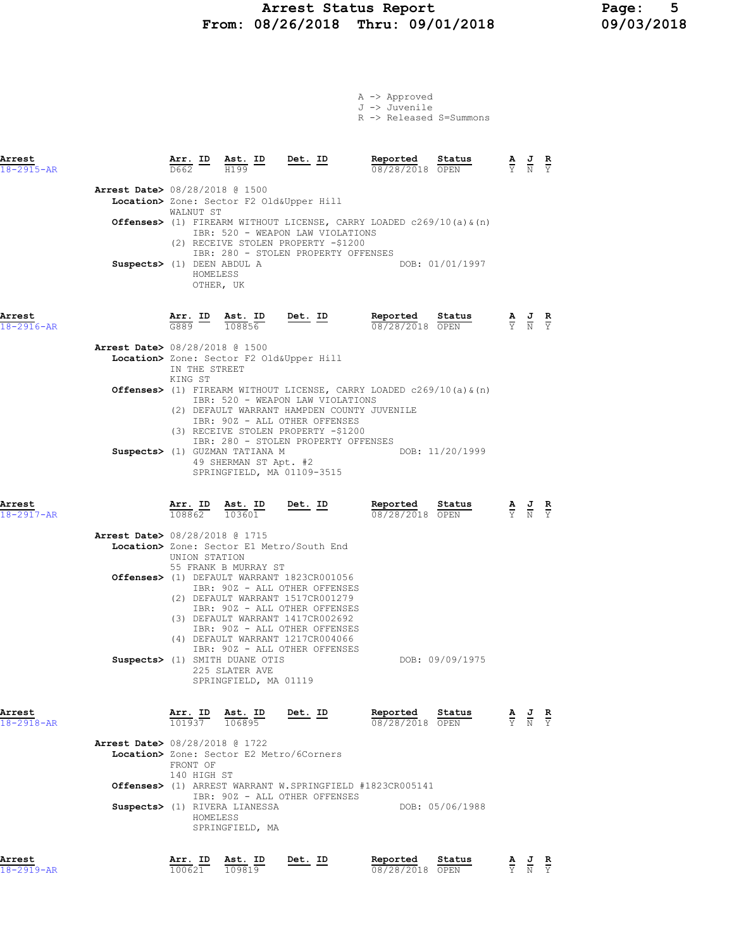#### Arrest Status Report Page: 5 From: 08/26/2018 Thru: 09/01/2018 09/03/2018

A -> Approved J -> Juvenile

|                            |                                                                        |                                      |                                                                           |                                                                                                                                                                                                                                                                                            | R -> Released S=Summons     |                 |                                                                                                 |                                                                                                       |  |
|----------------------------|------------------------------------------------------------------------|--------------------------------------|---------------------------------------------------------------------------|--------------------------------------------------------------------------------------------------------------------------------------------------------------------------------------------------------------------------------------------------------------------------------------------|-----------------------------|-----------------|-------------------------------------------------------------------------------------------------|-------------------------------------------------------------------------------------------------------|--|
| Arrest<br>$18 - 2915 - AR$ |                                                                        | $\frac{\text{Arr.}}{\text{D662}}$ ID | $\frac{\text{Ast.}}{\text{H199}}$ ID                                      | Det. ID                                                                                                                                                                                                                                                                                    | Reported<br>08/28/2018 OPEN | Status          | $\frac{\mathbf{A}}{\mathbf{Y}}$ $\frac{\mathbf{J}}{\mathbf{N}}$ $\frac{\mathbf{R}}{\mathbf{Y}}$ |                                                                                                       |  |
|                            | <b>Arrest Date&gt; 08/28/2018 @ 1500</b><br>Suspects> (1) DEEN ABDUL A | WALNUT ST                            |                                                                           | Location> Zone: Sector F2 Old&Upper Hill<br><b>Offenses&gt;</b> (1) FIREARM WITHOUT LICENSE, CARRY LOADED $c269/10$ (a) $\alpha$ (n)<br>IBR: 520 - WEAPON LAW VIOLATIONS<br>(2) RECEIVE STOLEN PROPERTY -\$1200<br>IBR: 280 - STOLEN PROPERTY OFFENSES                                     |                             | DOB: 01/01/1997 |                                                                                                 |                                                                                                       |  |
| Arrest<br>18-2916-AR       |                                                                        | HOMELESS<br>Arr. ID<br>G889          | OTHER, UK<br>Ast. ID<br>108856                                            | Det. ID                                                                                                                                                                                                                                                                                    | Reported<br>08/28/2018 OPEN | Status          |                                                                                                 | $\frac{\mathbf{A}}{\mathbf{Y}}$ $\frac{\mathbf{J}}{\mathbf{N}}$ $\frac{\mathbf{R}}{\mathbf{Y}}$       |  |
|                            | <b>Arrest Date&gt; 08/28/2018 @ 1500</b>                               | IN THE STREET<br>KING ST             |                                                                           | Location> Zone: Sector F2 Old&Upper Hill<br><b>Offenses&gt;</b> (1) FIREARM WITHOUT LICENSE, CARRY LOADED $c269/10$ (a) $\alpha$ (n)                                                                                                                                                       |                             |                 |                                                                                                 |                                                                                                       |  |
|                            |                                                                        |                                      | Suspects> (1) GUZMAN TATIANA M<br>49 SHERMAN ST Apt. #2                   | IBR: 520 - WEAPON LAW VIOLATIONS<br>(2) DEFAULT WARRANT HAMPDEN COUNTY JUVENILE<br>IBR: 90Z - ALL OTHER OFFENSES<br>(3) RECEIVE STOLEN PROPERTY -\$1200<br>IBR: 280 - STOLEN PROPERTY OFFENSES<br>SPRINGFIELD, MA 01109-3515                                                               |                             | DOB: 11/20/1999 |                                                                                                 |                                                                                                       |  |
| Arrest<br>$18 - 2917 - AR$ |                                                                        | $\frac{\text{Arr.}}{108862}$         | $\frac{\text{Ast.}}{103601}$                                              | <u>Det. ID</u>                                                                                                                                                                                                                                                                             | Reported<br>08/28/2018 OPEN | Status          |                                                                                                 | $\frac{\mathbf{A}}{\overline{Y}}$ $\frac{\mathbf{J}}{\overline{N}}$ $\frac{\mathbf{R}}{\overline{Y}}$ |  |
|                            | Arrest Date> 08/28/2018 @ 1715                                         | UNION STATION                        | 55 FRANK B MURRAY ST                                                      | Location> Zone: Sector E1 Metro/South End                                                                                                                                                                                                                                                  |                             |                 |                                                                                                 |                                                                                                       |  |
|                            |                                                                        |                                      | Suspects> (1) SMITH DUANE OTIS<br>225 SLATER AVE<br>SPRINGFIELD, MA 01119 | Offenses> (1) DEFAULT WARRANT 1823CR001056<br>IBR: 90Z - ALL OTHER OFFENSES<br>(2) DEFAULT WARRANT 1517CR001279<br>IBR: 90Z - ALL OTHER OFFENSES<br>(3) DEFAULT WARRANT 1417CR002692<br>IBR: 90Z - ALL OTHER OFFENSES<br>(4) DEFAULT WARRANT 1217CR004066<br>IBR: 90Z - ALL OTHER OFFENSES |                             | DOB: 09/09/1975 |                                                                                                 |                                                                                                       |  |
| Arrest<br>$18 - 2918 - AR$ | Arrest Date> 08/28/2018 @ 1722                                         | Arr. ID<br>101937                    | Ast. ID<br>106895                                                         | Det. ID                                                                                                                                                                                                                                                                                    | Reported<br>08/28/2018 OPEN | Status          |                                                                                                 | $\frac{\mathbf{A}}{\mathbf{Y}}$ $\frac{\mathbf{J}}{\mathbf{N}}$ $\frac{\mathbf{R}}{\mathbf{Y}}$       |  |
|                            |                                                                        | FRONT OF<br>140 HIGH ST<br>HOMELESS  | Suspects> (1) RIVERA LIANESSA<br>SPRINGFIELD, MA                          | Location> Zone: Sector E2 Metro/6Corners<br><b>Offenses&gt;</b> (1) ARREST WARRANT W.SPRINGFIELD #1823CR005141<br>IBR: 90Z - ALL OTHER OFFENSES                                                                                                                                            |                             | DOB: 05/06/1988 |                                                                                                 |                                                                                                       |  |
| Arrest                     |                                                                        |                                      | Arr. ID Ast. ID                                                           | Det. ID                                                                                                                                                                                                                                                                                    | Reported                    | Status          |                                                                                                 | AJ R                                                                                                  |  |

18-2919-AR 100621 109819 08/28/2018 OPEN Y N Y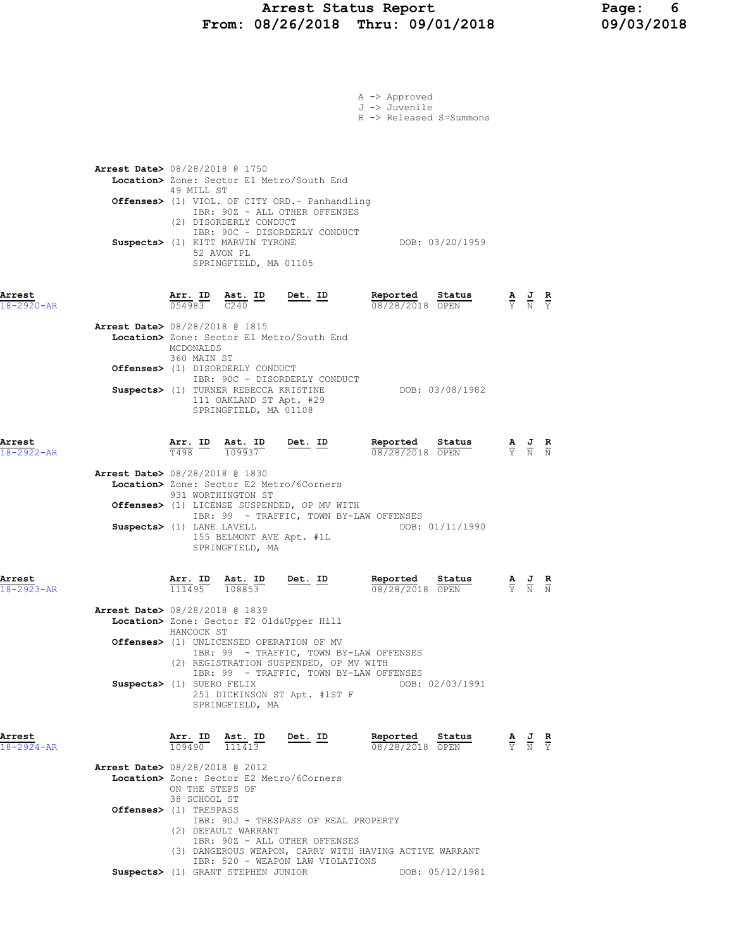### Arrest Status Report Page: 6 From: 08/26/2018 Thru: 09/01/2018 09/03/2018

| A -> Approved<br>J -> Juvenile<br>R -> Released S=Summons<br>Arrest Date> 08/28/2018 @ 1750<br>Location> Zone: Sector E1 Metro/South End<br>49 MILL ST<br>Offenses> (1) VIOL. OF CITY ORD.- Panhandling<br>IBR: 90Z - ALL OTHER OFFENSES<br>(2) DISORDERLY CONDUCT<br>IBR: 90C - DISORDERLY CONDUCT<br>DOB: 03/20/1959<br>Suspects> (1) KITT MARVIN TYRONE<br>52 AVON PL<br>SPRINGFIELD, MA 01105<br><u>Arr.</u> ID<br>Reported<br><u>Ast. ID</u><br><u>Det. ID</u><br>Status<br>$\frac{\mathbf{A}}{\overline{Y}}$ $\frac{\mathbf{J}}{\overline{N}}$ $\frac{\mathbf{R}}{\overline{Y}}$<br>0.54983<br>C240<br>08/28/2018 OPEN<br>Arrest Date> 08/28/2018 @ 1815<br>Location> Zone: Sector E1 Metro/South End<br>MCDONALDS<br>360 MAIN ST<br>Offenses> (1) DISORDERLY CONDUCT<br>IBR: 90C - DISORDERLY CONDUCT<br>Suspects> (1) TURNER REBECCA KRISTINE<br>DOB: 03/08/1982<br>111 OAKLAND ST Apt. #29<br>SPRINGFIELD, MA 01108<br>Ast. ID<br><u>Det. ID</u><br>Reported<br>Status<br>$\frac{\texttt{Arr.}}{\texttt{T498}}$ ID<br>$\frac{\mathbf{A}}{\overline{Y}}$ $\frac{\mathbf{J}}{\overline{N}}$ $\frac{\mathbf{R}}{\overline{N}}$<br>109937<br>08/28/2018 OPEN<br><b>Arrest Date&gt; 08/28/2018 @ 1830</b><br>Location> Zone: Sector E2 Metro/6Corners<br>931 WORTHINGTON ST<br>Offenses> (1) LICENSE SUSPENDED, OP MV WITH<br>IBR: 99 - TRAFFIC, TOWN BY-LAW OFFENSES<br>Suspects> (1) LANE LAVELL<br>DOB: 01/11/1990<br>155 BELMONT AVE Apt. #1L<br>SPRINGFIELD, MA<br>Det. ID<br>Reported<br>Arr. ID<br>Ast. ID<br>Status<br>$\frac{\mathbf{A}}{\overline{Y}}$<br>$\frac{1}{N}$<br>$\frac{R}{N}$<br>111495<br>108853<br>08/28/2018 OPEN<br><b>Arrest Date&gt;</b> 08/28/2018 @ 1839<br>Location> Zone: Sector F2 Old&Upper Hill<br>HANCOCK ST<br>Offenses> (1) UNLICENSED OPERATION OF MV<br>IBR: 99 - TRAFFIC, TOWN BY-LAW OFFENSES<br>(2) REGISTRATION SUSPENDED, OP MV WITH<br>IBR: 99 - TRAFFIC, TOWN BY-LAW OFFENSES<br>Suspects> (1) SUERO FELIX<br>DOB: 02/03/1991<br>251 DICKINSON ST Apt. #1ST F<br>SPRINGFIELD, MA<br>$\frac{\texttt{Arr.}}{109490}$ $\frac{\texttt{ Ast.}}{111413}$ Det. ID<br>Reported<br><b>Status A</b> $J$ <b>R</b> $\overline{N}$ <b>P</b> $\overline{N}$ <b>P</b> $\overline{N}$ <b>P</b> $\overline{N}$<br>08/28/2018 OPEN<br><b>Arrest Date&gt; 08/28/2018 @ 2012</b><br>Location> Zone: Sector E2 Metro/6Corners<br>ON THE STEPS OF<br>38 SCHOOL ST<br>Offenses> (1) TRESPASS<br>IBR: 90J - TRESPASS OF REAL PROPERTY<br>(2) DEFAULT WARRANT<br>IBR: 90Z - ALL OTHER OFFENSES<br>(3) DANGEROUS WEAPON, CARRY WITH HAVING ACTIVE WARRANT<br>IBR: 520 - WEAPON LAW VIOLATIONS<br>Suspects> (1) GRANT STEPHEN JUNIOR |                      |  |  |                 |  |  |
|-------------------------------------------------------------------------------------------------------------------------------------------------------------------------------------------------------------------------------------------------------------------------------------------------------------------------------------------------------------------------------------------------------------------------------------------------------------------------------------------------------------------------------------------------------------------------------------------------------------------------------------------------------------------------------------------------------------------------------------------------------------------------------------------------------------------------------------------------------------------------------------------------------------------------------------------------------------------------------------------------------------------------------------------------------------------------------------------------------------------------------------------------------------------------------------------------------------------------------------------------------------------------------------------------------------------------------------------------------------------------------------------------------------------------------------------------------------------------------------------------------------------------------------------------------------------------------------------------------------------------------------------------------------------------------------------------------------------------------------------------------------------------------------------------------------------------------------------------------------------------------------------------------------------------------------------------------------------------------------------------------------------------------------------------------------------------------------------------------------------------------------------------------------------------------------------------------------------------------------------------------------------------------------------------------------------------------------------------------------------------------------------------------------------------------------------------------------------------------------------------------------------------------------------------------------------------------------------------------------------------------------------------------------|----------------------|--|--|-----------------|--|--|
|                                                                                                                                                                                                                                                                                                                                                                                                                                                                                                                                                                                                                                                                                                                                                                                                                                                                                                                                                                                                                                                                                                                                                                                                                                                                                                                                                                                                                                                                                                                                                                                                                                                                                                                                                                                                                                                                                                                                                                                                                                                                                                                                                                                                                                                                                                                                                                                                                                                                                                                                                                                                                                                             |                      |  |  |                 |  |  |
|                                                                                                                                                                                                                                                                                                                                                                                                                                                                                                                                                                                                                                                                                                                                                                                                                                                                                                                                                                                                                                                                                                                                                                                                                                                                                                                                                                                                                                                                                                                                                                                                                                                                                                                                                                                                                                                                                                                                                                                                                                                                                                                                                                                                                                                                                                                                                                                                                                                                                                                                                                                                                                                             |                      |  |  |                 |  |  |
|                                                                                                                                                                                                                                                                                                                                                                                                                                                                                                                                                                                                                                                                                                                                                                                                                                                                                                                                                                                                                                                                                                                                                                                                                                                                                                                                                                                                                                                                                                                                                                                                                                                                                                                                                                                                                                                                                                                                                                                                                                                                                                                                                                                                                                                                                                                                                                                                                                                                                                                                                                                                                                                             |                      |  |  |                 |  |  |
|                                                                                                                                                                                                                                                                                                                                                                                                                                                                                                                                                                                                                                                                                                                                                                                                                                                                                                                                                                                                                                                                                                                                                                                                                                                                                                                                                                                                                                                                                                                                                                                                                                                                                                                                                                                                                                                                                                                                                                                                                                                                                                                                                                                                                                                                                                                                                                                                                                                                                                                                                                                                                                                             |                      |  |  |                 |  |  |
|                                                                                                                                                                                                                                                                                                                                                                                                                                                                                                                                                                                                                                                                                                                                                                                                                                                                                                                                                                                                                                                                                                                                                                                                                                                                                                                                                                                                                                                                                                                                                                                                                                                                                                                                                                                                                                                                                                                                                                                                                                                                                                                                                                                                                                                                                                                                                                                                                                                                                                                                                                                                                                                             | Arrest<br>18-2920-AR |  |  |                 |  |  |
|                                                                                                                                                                                                                                                                                                                                                                                                                                                                                                                                                                                                                                                                                                                                                                                                                                                                                                                                                                                                                                                                                                                                                                                                                                                                                                                                                                                                                                                                                                                                                                                                                                                                                                                                                                                                                                                                                                                                                                                                                                                                                                                                                                                                                                                                                                                                                                                                                                                                                                                                                                                                                                                             |                      |  |  |                 |  |  |
|                                                                                                                                                                                                                                                                                                                                                                                                                                                                                                                                                                                                                                                                                                                                                                                                                                                                                                                                                                                                                                                                                                                                                                                                                                                                                                                                                                                                                                                                                                                                                                                                                                                                                                                                                                                                                                                                                                                                                                                                                                                                                                                                                                                                                                                                                                                                                                                                                                                                                                                                                                                                                                                             |                      |  |  |                 |  |  |
|                                                                                                                                                                                                                                                                                                                                                                                                                                                                                                                                                                                                                                                                                                                                                                                                                                                                                                                                                                                                                                                                                                                                                                                                                                                                                                                                                                                                                                                                                                                                                                                                                                                                                                                                                                                                                                                                                                                                                                                                                                                                                                                                                                                                                                                                                                                                                                                                                                                                                                                                                                                                                                                             |                      |  |  |                 |  |  |
|                                                                                                                                                                                                                                                                                                                                                                                                                                                                                                                                                                                                                                                                                                                                                                                                                                                                                                                                                                                                                                                                                                                                                                                                                                                                                                                                                                                                                                                                                                                                                                                                                                                                                                                                                                                                                                                                                                                                                                                                                                                                                                                                                                                                                                                                                                                                                                                                                                                                                                                                                                                                                                                             | Arrest<br>18-2922-AR |  |  |                 |  |  |
|                                                                                                                                                                                                                                                                                                                                                                                                                                                                                                                                                                                                                                                                                                                                                                                                                                                                                                                                                                                                                                                                                                                                                                                                                                                                                                                                                                                                                                                                                                                                                                                                                                                                                                                                                                                                                                                                                                                                                                                                                                                                                                                                                                                                                                                                                                                                                                                                                                                                                                                                                                                                                                                             |                      |  |  |                 |  |  |
|                                                                                                                                                                                                                                                                                                                                                                                                                                                                                                                                                                                                                                                                                                                                                                                                                                                                                                                                                                                                                                                                                                                                                                                                                                                                                                                                                                                                                                                                                                                                                                                                                                                                                                                                                                                                                                                                                                                                                                                                                                                                                                                                                                                                                                                                                                                                                                                                                                                                                                                                                                                                                                                             |                      |  |  |                 |  |  |
|                                                                                                                                                                                                                                                                                                                                                                                                                                                                                                                                                                                                                                                                                                                                                                                                                                                                                                                                                                                                                                                                                                                                                                                                                                                                                                                                                                                                                                                                                                                                                                                                                                                                                                                                                                                                                                                                                                                                                                                                                                                                                                                                                                                                                                                                                                                                                                                                                                                                                                                                                                                                                                                             | Arrest<br>18-2923-AR |  |  |                 |  |  |
|                                                                                                                                                                                                                                                                                                                                                                                                                                                                                                                                                                                                                                                                                                                                                                                                                                                                                                                                                                                                                                                                                                                                                                                                                                                                                                                                                                                                                                                                                                                                                                                                                                                                                                                                                                                                                                                                                                                                                                                                                                                                                                                                                                                                                                                                                                                                                                                                                                                                                                                                                                                                                                                             |                      |  |  |                 |  |  |
|                                                                                                                                                                                                                                                                                                                                                                                                                                                                                                                                                                                                                                                                                                                                                                                                                                                                                                                                                                                                                                                                                                                                                                                                                                                                                                                                                                                                                                                                                                                                                                                                                                                                                                                                                                                                                                                                                                                                                                                                                                                                                                                                                                                                                                                                                                                                                                                                                                                                                                                                                                                                                                                             |                      |  |  |                 |  |  |
|                                                                                                                                                                                                                                                                                                                                                                                                                                                                                                                                                                                                                                                                                                                                                                                                                                                                                                                                                                                                                                                                                                                                                                                                                                                                                                                                                                                                                                                                                                                                                                                                                                                                                                                                                                                                                                                                                                                                                                                                                                                                                                                                                                                                                                                                                                                                                                                                                                                                                                                                                                                                                                                             |                      |  |  |                 |  |  |
|                                                                                                                                                                                                                                                                                                                                                                                                                                                                                                                                                                                                                                                                                                                                                                                                                                                                                                                                                                                                                                                                                                                                                                                                                                                                                                                                                                                                                                                                                                                                                                                                                                                                                                                                                                                                                                                                                                                                                                                                                                                                                                                                                                                                                                                                                                                                                                                                                                                                                                                                                                                                                                                             | Arrest<br>18-2924-AR |  |  |                 |  |  |
|                                                                                                                                                                                                                                                                                                                                                                                                                                                                                                                                                                                                                                                                                                                                                                                                                                                                                                                                                                                                                                                                                                                                                                                                                                                                                                                                                                                                                                                                                                                                                                                                                                                                                                                                                                                                                                                                                                                                                                                                                                                                                                                                                                                                                                                                                                                                                                                                                                                                                                                                                                                                                                                             |                      |  |  |                 |  |  |
|                                                                                                                                                                                                                                                                                                                                                                                                                                                                                                                                                                                                                                                                                                                                                                                                                                                                                                                                                                                                                                                                                                                                                                                                                                                                                                                                                                                                                                                                                                                                                                                                                                                                                                                                                                                                                                                                                                                                                                                                                                                                                                                                                                                                                                                                                                                                                                                                                                                                                                                                                                                                                                                             |                      |  |  |                 |  |  |
|                                                                                                                                                                                                                                                                                                                                                                                                                                                                                                                                                                                                                                                                                                                                                                                                                                                                                                                                                                                                                                                                                                                                                                                                                                                                                                                                                                                                                                                                                                                                                                                                                                                                                                                                                                                                                                                                                                                                                                                                                                                                                                                                                                                                                                                                                                                                                                                                                                                                                                                                                                                                                                                             |                      |  |  | DOB: 05/12/1981 |  |  |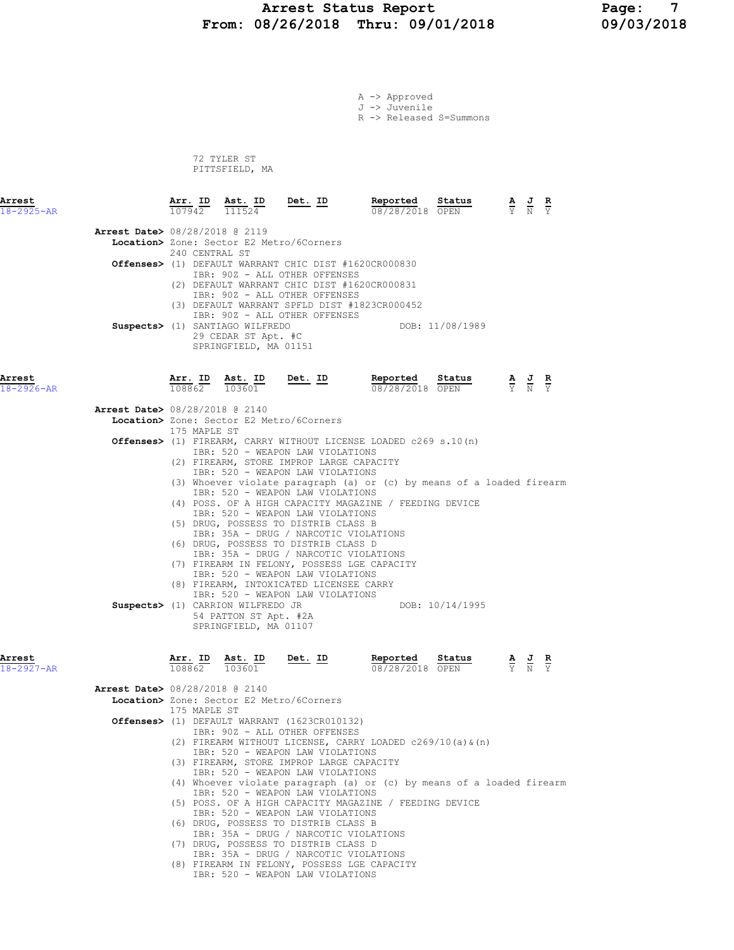#### Arrest Status Report Page: 7 From: 08/26/2018 Thru: 09/01/2018 09/03/2018

A -> Approved

J -> Juvenile R -> Released S=Summons 72 TYLER ST PITTSFIELD, MA Arrest Arr. ID Ast. ID Det. ID Reported Status A J R 18-2925-AR 107942 111524 08/28/2018 OPEN Y N Y Arrest Date> 08/28/2018 @ 2119 Location> Zone: Sector E2 Metro/6Corners 240 CENTRAL ST Offenses> (1) DEFAULT WARRANT CHIC DIST #1620CR000830 IBR: 90Z - ALL OTHER OFFENSES (2) DEFAULT WARRANT CHIC DIST #1620CR000831 IBR: 90Z - ALL OTHER OFFENSES (3) DEFAULT WARRANT SPFLD DIST #1823CR000452 IBR: 90Z - ALL OTHER OFFENSES Suspects> (1) SANTIAGO WILFREDO DOB: 11/08/1989 29 CEDAR ST Apt. #C SPRINGFIELD, MA 01151 Arrest Arr. ID Ast. ID Det. ID Reported Status A J R 18-2926-AR 108862 103601 08/28/2018 OPEN Y N Y Arrest Date> 08/28/2018 @ 2140 Location> Zone: Sector E2 Metro/6Corners 175 MAPLE ST Offenses> (1) FIREARM, CARRY WITHOUT LICENSE LOADED c269 s.10(n) IBR: 520 - WEAPON LAW VIOLATIONS (2) FIREARM, STORE IMPROP LARGE CAPACITY IBR: 520 - WEAPON LAW VIOLATIONS (3) Whoever violate paragraph (a) or (c) by means of a loaded firearm IBR: 520 - WEAPON LAW VIOLATIONS (4) POSS. OF A HIGH CAPACITY MAGAZINE / FEEDING DEVICE IBR: 520 - WEAPON LAW VIOLATIONS (5) DRUG, POSSESS TO DISTRIB CLASS B IBR: 35A - DRUG / NARCOTIC VIOLATIONS (6) DRUG, POSSESS TO DISTRIB CLASS D IBR: 35A - DRUG / NARCOTIC VIOLATIONS (7) FIREARM IN FELONY, POSSESS LGE CAPACITY IBR: 520 - WEAPON LAW VIOLATIONS (8) FIREARM, INTOXICATED LICENSEE CARRY IBR: 520 - WEAPON LAW VIOLATIONS Suspects> (1) CARRION WILFREDO JR DOB: 10/14/1995 54 PATTON ST Apt. #2A SPRINGFIELD, MA 01107 Arrest Arr. ID Ast. ID Det. ID Reported Status A J R 18-2927-AR 108862 103601 08/28/2018 OPEN Y N Y Arrest Date> 08/28/2018 @ 2140 Location> Zone: Sector E2 Metro/6Corners 175 MAPLE ST Offenses> (1) DEFAULT WARRANT (1623CR010132) IBR: 90Z - ALL OTHER OFFENSES (2) FIREARM WITHOUT LICENSE, CARRY LOADED c269/10(a)&(n) IBR: 520 - WEAPON LAW VIOLATIONS (3) FIREARM, STORE IMPROP LARGE CAPACITY IBR: 520 - WEAPON LAW VIOLATIONS (4) Whoever violate paragraph (a) or (c) by means of a loaded firearm IBR: 520 - WEAPON LAW VIOLATIONS (5) POSS. OF A HIGH CAPACITY MAGAZINE / FEEDING DEVICE IBR: 520 - WEAPON LAW VIOLATIONS (6) DRUG, POSSESS TO DISTRIB CLASS B IBR: 35A - DRUG / NARCOTIC VIOLATIONS (7) DRUG, POSSESS TO DISTRIB CLASS D IBR: 35A - DRUG / NARCOTIC VIOLATIONS

 (8) FIREARM IN FELONY, POSSESS LGE CAPACITY IBR: 520 - WEAPON LAW VIOLATIONS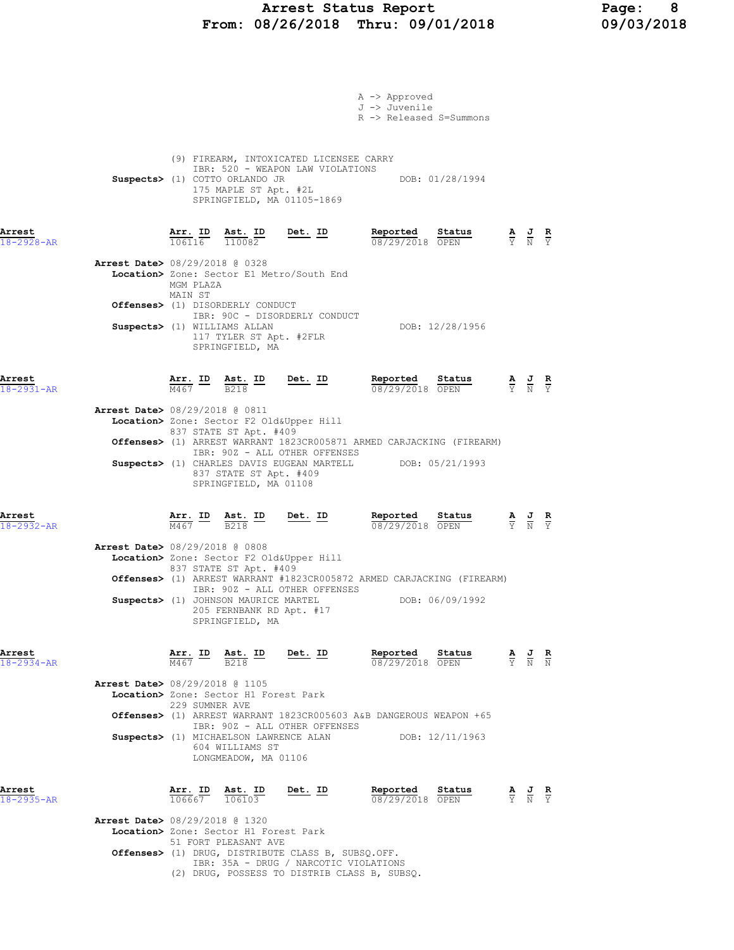# Arrest Status Report 1997 Page: 8<br>18/26/2018 Thru: 09/01/2018 199/03/2018 From: 08/26/2018 Thru: 09/01/2018

|                                          |                |                                                                  |                                                                                                                                                                                                        | A -> Approved           |                                                                       |                                                                                                 |                                                                                                 |  |
|------------------------------------------|----------------|------------------------------------------------------------------|--------------------------------------------------------------------------------------------------------------------------------------------------------------------------------------------------------|-------------------------|-----------------------------------------------------------------------|-------------------------------------------------------------------------------------------------|-------------------------------------------------------------------------------------------------|--|
|                                          |                |                                                                  |                                                                                                                                                                                                        | J -> Juvenile           |                                                                       |                                                                                                 |                                                                                                 |  |
|                                          |                |                                                                  |                                                                                                                                                                                                        | R -> Released S=Summons |                                                                       |                                                                                                 |                                                                                                 |  |
|                                          |                |                                                                  |                                                                                                                                                                                                        |                         |                                                                       |                                                                                                 |                                                                                                 |  |
|                                          |                |                                                                  | (9) FIREARM, INTOXICATED LICENSEE CARRY                                                                                                                                                                |                         |                                                                       |                                                                                                 |                                                                                                 |  |
|                                          |                | Suspects> (1) COTTO ORLANDO JR                                   | IBR: 520 - WEAPON LAW VIOLATIONS                                                                                                                                                                       |                         | DOB: 01/28/1994                                                       |                                                                                                 |                                                                                                 |  |
|                                          |                |                                                                  | 175 MAPLE ST Apt. #2L<br>SPRINGFIELD, MA 01105-1869                                                                                                                                                    |                         |                                                                       |                                                                                                 |                                                                                                 |  |
|                                          |                |                                                                  |                                                                                                                                                                                                        |                         |                                                                       |                                                                                                 |                                                                                                 |  |
| Arrest                                   |                |                                                                  |                                                                                                                                                                                                        | Reported                |                                                                       |                                                                                                 |                                                                                                 |  |
| $18 - 2928 - AR$                         |                |                                                                  | $\frac{\texttt{Arr.}}{106116}$ $\frac{\texttt{Ab.}}{110082}$ Det. ID                                                                                                                                   | 08/29/2018 OPEN         | $\frac{\texttt{Status}}{\text{OPTN}}$                                 | $\frac{\mathbf{A}}{\mathbf{Y}}$ $\frac{\mathbf{J}}{\mathbf{N}}$ $\frac{\mathbf{R}}{\mathbf{Y}}$ |                                                                                                 |  |
| Arrest Date> 08/29/2018 @ 0328           |                |                                                                  |                                                                                                                                                                                                        |                         |                                                                       |                                                                                                 |                                                                                                 |  |
|                                          | MGM PLAZA      |                                                                  | Location> Zone: Sector E1 Metro/South End                                                                                                                                                              |                         |                                                                       |                                                                                                 |                                                                                                 |  |
|                                          | MAIN ST        |                                                                  |                                                                                                                                                                                                        |                         |                                                                       |                                                                                                 |                                                                                                 |  |
|                                          |                | Offenses> (1) DISORDERLY CONDUCT                                 | IBR: 90C - DISORDERLY CONDUCT                                                                                                                                                                          |                         |                                                                       |                                                                                                 |                                                                                                 |  |
| Suspects> (1) WILLIAMS ALLAN             |                |                                                                  |                                                                                                                                                                                                        |                         | DOB: 12/28/1956                                                       |                                                                                                 |                                                                                                 |  |
|                                          |                | 117 TYLER ST Apt. #2FLR<br>SPRINGFIELD, MA                       |                                                                                                                                                                                                        |                         |                                                                       |                                                                                                 |                                                                                                 |  |
|                                          |                |                                                                  |                                                                                                                                                                                                        |                         |                                                                       |                                                                                                 |                                                                                                 |  |
| Arrest                                   |                |                                                                  |                                                                                                                                                                                                        | Reported Status         |                                                                       |                                                                                                 |                                                                                                 |  |
| $18 - 2931 - AR$                         |                |                                                                  | $\frac{\texttt{Arr.}}{\text{M467}}$ ID $\frac{\texttt{ Ast.}}{\text{B218}}$ ID Det. ID                                                                                                                 | 08/29/2018 OPEN         |                                                                       |                                                                                                 | $\frac{\mathbf{A}}{\mathbf{Y}}$ $\frac{\mathbf{J}}{\mathbf{N}}$ $\frac{\mathbf{R}}{\mathbf{Y}}$ |  |
| Arrest Date> 08/29/2018 @ 0811           |                |                                                                  |                                                                                                                                                                                                        |                         |                                                                       |                                                                                                 |                                                                                                 |  |
|                                          |                | 837 STATE ST Apt. #409                                           | Location> Zone: Sector F2 Old&Upper Hill                                                                                                                                                               |                         |                                                                       |                                                                                                 |                                                                                                 |  |
|                                          |                |                                                                  | Offenses> (1) ARREST WARRANT 1823CR005871 ARMED CARJACKING (FIREARM)                                                                                                                                   |                         |                                                                       |                                                                                                 |                                                                                                 |  |
|                                          |                |                                                                  | IBR: 90Z - ALL OTHER OFFENSES<br>Suspects> (1) CHARLES DAVIS EUGEAN MARTELL DOB: 05/21/1993                                                                                                            |                         |                                                                       |                                                                                                 |                                                                                                 |  |
|                                          |                | 837 STATE ST Apt. #409                                           |                                                                                                                                                                                                        |                         |                                                                       |                                                                                                 |                                                                                                 |  |
|                                          |                | SPRINGFIELD, MA 01108                                            |                                                                                                                                                                                                        |                         |                                                                       |                                                                                                 |                                                                                                 |  |
|                                          |                |                                                                  |                                                                                                                                                                                                        |                         |                                                                       |                                                                                                 |                                                                                                 |  |
| Arrest<br>$18 - 2932 - AR$               |                |                                                                  | <b>Arr.</b> ID Ast. ID Det. ID Reported $\frac{\text{Astr.}}{\text{M467}}$ $\frac{\text{B}}{\text{B218}}$ $\frac{\text{B}}{\text{B218}}$ $\frac{\text{B}}{\text{B218}}$ $\frac{\text{B}}{\text{B218}}$ | 08/29/2018 OPEN         | Status                                                                | $\frac{\mathbf{A}}{\mathbf{Y}}$ $\frac{\mathbf{J}}{\mathbf{N}}$ $\frac{\mathbf{R}}{\mathbf{Y}}$ |                                                                                                 |  |
| Arrest Date> 08/29/2018 @ 0808           |                |                                                                  |                                                                                                                                                                                                        |                         |                                                                       |                                                                                                 |                                                                                                 |  |
|                                          |                |                                                                  | Location> Zone: Sector F2 Old&Upper Hill                                                                                                                                                               |                         |                                                                       |                                                                                                 |                                                                                                 |  |
|                                          |                | 837 STATE ST Apt. #409                                           | Offenses> (1) ARREST WARRANT #1823CR005872 ARMED CARJACKING (FIREARM)                                                                                                                                  |                         |                                                                       |                                                                                                 |                                                                                                 |  |
|                                          |                |                                                                  | IBR: 90Z - ALL OTHER OFFENSES                                                                                                                                                                          |                         |                                                                       |                                                                                                 |                                                                                                 |  |
|                                          |                | Suspects> (1) JOHNSON MAURICE MARTEL<br>205 FERNBANK RD Apt. #17 |                                                                                                                                                                                                        |                         | DOB: 06/09/1992                                                       |                                                                                                 |                                                                                                 |  |
|                                          |                | SPRINGFIELD, MA                                                  |                                                                                                                                                                                                        |                         |                                                                       |                                                                                                 |                                                                                                 |  |
|                                          |                |                                                                  |                                                                                                                                                                                                        |                         |                                                                       |                                                                                                 |                                                                                                 |  |
| Arrest<br>$18 - 2934 - AR$               |                |                                                                  | $\frac{\text{Arr.}}{\text{M467}}$ ID $\frac{\text{Ast.}}{\text{B218}}$ ID Det. ID                                                                                                                      |                         | <b>Reported Status A J R</b> 08/29/2018 OPEN $\frac{1}{Y}$ <b>A N</b> |                                                                                                 |                                                                                                 |  |
|                                          |                |                                                                  |                                                                                                                                                                                                        |                         |                                                                       |                                                                                                 |                                                                                                 |  |
| Arrest Date> 08/29/2018 @ 1105           |                | Location> Zone: Sector H1 Forest Park                            |                                                                                                                                                                                                        |                         |                                                                       |                                                                                                 |                                                                                                 |  |
|                                          | 229 SUMNER AVE |                                                                  |                                                                                                                                                                                                        |                         |                                                                       |                                                                                                 |                                                                                                 |  |
|                                          |                |                                                                  | Offenses> (1) ARREST WARRANT 1823CR005603 A&B DANGEROUS WEAPON +65<br>IBR: 90Z - ALL OTHER OFFENSES                                                                                                    |                         |                                                                       |                                                                                                 |                                                                                                 |  |
|                                          |                | Suspects> (1) MICHAELSON LAWRENCE ALAN                           |                                                                                                                                                                                                        |                         | DOB: 12/11/1963                                                       |                                                                                                 |                                                                                                 |  |
|                                          |                | 604 WILLIAMS ST<br>LONGMEADOW, MA 01106                          |                                                                                                                                                                                                        |                         |                                                                       |                                                                                                 |                                                                                                 |  |
|                                          |                |                                                                  |                                                                                                                                                                                                        |                         |                                                                       |                                                                                                 |                                                                                                 |  |
| Arrest                                   |                |                                                                  | $\frac{\texttt{Arr. ID}}{106667}$ $\frac{\texttt{ Ast. ID}}{106103}$ Det. ID                                                                                                                           | Reported Status         |                                                                       |                                                                                                 | $\frac{\mathbf{A}}{\mathbf{Y}}$ $\frac{\mathbf{J}}{\mathbf{N}}$ $\frac{\mathbf{R}}{\mathbf{Y}}$ |  |
| 18-2935-AR                               |                |                                                                  |                                                                                                                                                                                                        | 08/29/2018 OPEN         |                                                                       |                                                                                                 |                                                                                                 |  |
| <b>Arrest Date&gt;</b> 08/29/2018 @ 1320 |                | Location> Zone: Sector H1 Forest Park                            |                                                                                                                                                                                                        |                         |                                                                       |                                                                                                 |                                                                                                 |  |
|                                          |                | 51 FORT PLEASANT AVE                                             |                                                                                                                                                                                                        |                         |                                                                       |                                                                                                 |                                                                                                 |  |
|                                          |                |                                                                  | Offenses> (1) DRUG, DISTRIBUTE CLASS B, SUBSQ.OFF.<br>IBR: 35A - DRUG / NARCOTIC VIOLATIONS                                                                                                            |                         |                                                                       |                                                                                                 |                                                                                                 |  |
|                                          |                |                                                                  | (2) DRUG, POSSESS TO DISTRIB CLASS B, SUBSQ.                                                                                                                                                           |                         |                                                                       |                                                                                                 |                                                                                                 |  |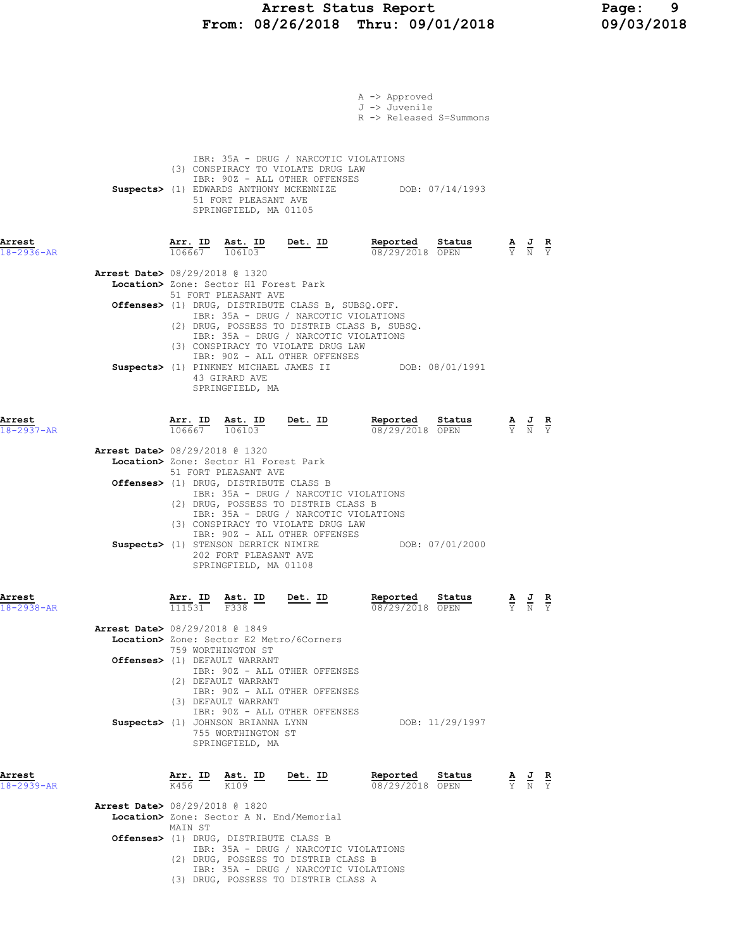### Arrest Status Report Page: 9 From: 08/26/2018 Thru: 09/01/2018 09/03/2018

|                            |                                                                                                                                                                                                                                         | A -> Approved<br>J -> Juvenile<br>R -> Released S=Summons |                                                                                                 |  |
|----------------------------|-----------------------------------------------------------------------------------------------------------------------------------------------------------------------------------------------------------------------------------------|-----------------------------------------------------------|-------------------------------------------------------------------------------------------------|--|
|                            | IBR: 35A - DRUG / NARCOTIC VIOLATIONS<br>(3) CONSPIRACY TO VIOLATE DRUG LAW<br>IBR: 90Z - ALL OTHER OFFENSES<br>Suspects> (1) EDWARDS ANTHONY MCKENNIZE DOB: 07/14/1993<br>51 FORT PLEASANT AVE<br>SPRINGFIELD, MA 01105                |                                                           |                                                                                                 |  |
| Arrest<br>$18 - 2936 - AR$ | $\frac{\texttt{Arr.}}{106667}$ $\frac{\texttt{ Ast.}}{106103}$ Det. ID                                                                                                                                                                  | Reported Status<br>08/29/2018 OPEN                        | $\frac{\mathbf{A}}{\mathbf{Y}}$ $\frac{\mathbf{J}}{\mathbf{N}}$ $\frac{\mathbf{R}}{\mathbf{Y}}$ |  |
|                            | <b>Arrest Date&gt; 08/29/2018 @ 1320</b><br>Location> Zone: Sector H1 Forest Park                                                                                                                                                       |                                                           |                                                                                                 |  |
|                            | 51 FORT PLEASANT AVE<br>Offenses> (1) DRUG, DISTRIBUTE CLASS B, SUBSQ.OFF.<br>IBR: 35A - DRUG / NARCOTIC VIOLATIONS                                                                                                                     |                                                           |                                                                                                 |  |
|                            | (2) DRUG, POSSESS TO DISTRIB CLASS B, SUBSQ.<br>IBR: 35A - DRUG / NARCOTIC VIOLATIONS<br>(3) CONSPIRACY TO VIOLATE DRUG LAW<br>IBR: 90Z - ALL OTHER OFFENSES<br>Suspects> (1) PINKNEY MICHAEL JAMES II DOB: 08/01/1991<br>43 GIRARD AVE |                                                           |                                                                                                 |  |
| Arrest<br>$18 - 2937 - AR$ | SPRINGFIELD, MA<br>Det. ID<br>$\frac{\texttt{Arr.}}{106667}$ $\frac{\texttt{Ab.}}{106103}$                                                                                                                                              | Reported<br>Status<br>08/29/2018 OPEN                     | $\frac{\mathbf{A}}{\mathbf{Y}}$ $\frac{\mathbf{J}}{\mathbf{N}}$ $\frac{\mathbf{R}}{\mathbf{Y}}$ |  |
|                            | <b>Arrest Date&gt; 08/29/2018 @ 1320</b><br>Location> Zone: Sector H1 Forest Park<br>51 FORT PLEASANT AVE                                                                                                                               |                                                           |                                                                                                 |  |
|                            | Offenses> (1) DRUG, DISTRIBUTE CLASS B<br>IBR: 35A - DRUG / NARCOTIC VIOLATIONS<br>(2) DRUG, POSSESS TO DISTRIB CLASS B<br>IBR: 35A - DRUG / NARCOTIC VIOLATIONS<br>(3) CONSPIRACY TO VIOLATE DRUG LAW                                  |                                                           |                                                                                                 |  |
|                            | IBR: 90Z - ALL OTHER OFFENSES<br>Suspects> (1) STENSON DERRICK NIMIRE<br>202 FORT PLEASANT AVE<br>SPRINGFIELD, MA 01108                                                                                                                 | DOB: 07/01/2000                                           |                                                                                                 |  |
| Arrest<br>18-2938-AR       | $\frac{\texttt{Arr.}}{111531}$ $\frac{\texttt{ Ast.}}{F338}$ ID Det. ID                                                                                                                                                                 | Reported Status<br>08/29/2018 OPEN                        | A J R<br>$\overline{Y}$ $\overline{N}$ $\overline{Y}$                                           |  |
|                            | Arrest Date> 08/29/2018 @ 1849<br>Location> Zone: Sector E2 Metro/6Corners<br>759 WORTHINGTON ST                                                                                                                                        |                                                           |                                                                                                 |  |
|                            | Offenses> (1) DEFAULT WARRANT<br>IBR: 90Z - ALL OTHER OFFENSES<br>(2) DEFAULT WARRANT<br>IBR: 90Z - ALL OTHER OFFENSES                                                                                                                  |                                                           |                                                                                                 |  |
|                            | (3) DEFAULT WARRANT<br>IBR: 90Z - ALL OTHER OFFENSES<br>Suspects> (1) JOHNSON BRIANNA LYNN<br>755 WORTHINGTON ST<br>SPRINGFIELD, MA                                                                                                     | DOB: 11/29/1997                                           |                                                                                                 |  |
| Arrest<br>$18 - 2939 - AR$ | $\frac{\texttt{Arr.}}{\text{K456}}$ ID $\frac{\texttt{ Ast.}}{\text{K109}}$ ID<br>Det. ID                                                                                                                                               | Reported Status<br>08/29/2018 OPEN                        | $\frac{\mathbf{A}}{\mathbf{Y}}$ $\frac{\mathbf{J}}{\mathbf{N}}$ $\frac{\mathbf{R}}{\mathbf{Y}}$ |  |
|                            | <b>Arrest Date&gt;</b> 08/29/2018 @ 1820<br>Location> Zone: Sector A N. End/Memorial                                                                                                                                                    |                                                           |                                                                                                 |  |
|                            | MAIN ST<br><b>Offenses&gt;</b> (1) DRUG, DISTRIBUTE CLASS B<br>IBR: 35A - DRUG / NARCOTIC VIOLATIONS<br>(2) DRUG, POSSESS TO DISTRIB CLASS B                                                                                            |                                                           |                                                                                                 |  |
|                            | IBR: 35A - DRUG / NARCOTIC VIOLATIONS<br>(3) DRUG, POSSESS TO DISTRIB CLASS A                                                                                                                                                           |                                                           |                                                                                                 |  |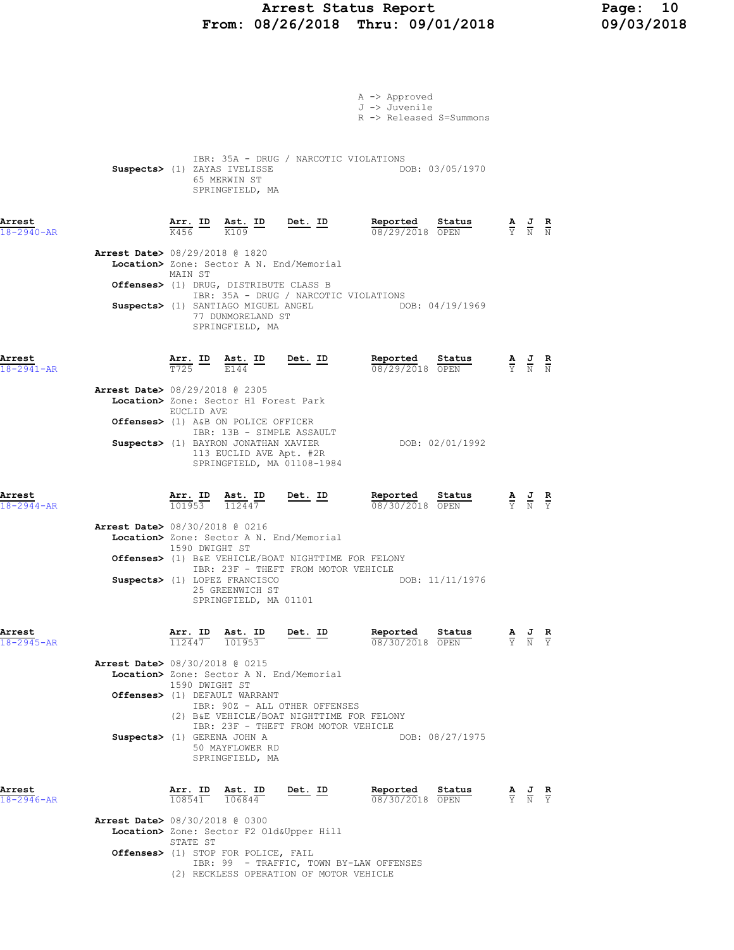### Arrest Status Report Page: 10 From: 08/26/2018 Thru: 09/01/2018 09/03/2018

|                            |                                          |                                                                 |                                                                                              |                                                                                           | A -> Approved<br>J -> Juvenile<br>R -> Released S=Summons                                            |                 |                                                                                                 |  |
|----------------------------|------------------------------------------|-----------------------------------------------------------------|----------------------------------------------------------------------------------------------|-------------------------------------------------------------------------------------------|------------------------------------------------------------------------------------------------------|-----------------|-------------------------------------------------------------------------------------------------|--|
|                            |                                          |                                                                 | Suspects> (1) ZAYAS IVELISSE<br>65 MERWIN ST<br>SPRINGFIELD, MA                              | IBR: 35A - DRUG / NARCOTIC VIOLATIONS                                                     | DOB: 03/05/1970                                                                                      |                 |                                                                                                 |  |
| Arrest<br>$18 - 2940 - AR$ |                                          |                                                                 |                                                                                              | $\frac{\texttt{Arr.}}{\text{K456}}$ ID $\frac{\texttt{Ast.}}{\text{K109}}$ Det. ID        | <b>Reported Status A J R</b> $\frac{1}{08}/29/2018$ <b>OPEN F N N</b>                                |                 |                                                                                                 |  |
|                            | <b>Arrest Date&gt; 08/29/2018 @ 1820</b> | MAIN ST                                                         |                                                                                              | Location> Zone: Sector A N. End/Memorial                                                  |                                                                                                      |                 |                                                                                                 |  |
|                            |                                          |                                                                 | Offenses> (1) DRUG, DISTRIBUTE CLASS B                                                       |                                                                                           |                                                                                                      |                 |                                                                                                 |  |
|                            |                                          |                                                                 | 77 DUNMORELAND ST<br>SPRINGFIELD, MA                                                         | IBR: 35A - DRUG / NARCOTIC VIOLATIONS                                                     | Suspects> (1) SANTIAGO MIGUEL ANGEL (DOB: 04/19/1969)                                                |                 |                                                                                                 |  |
| Arrest<br>18-2941-AR       |                                          |                                                                 |                                                                                              | $\frac{\texttt{Arr.}}{\texttt{T725}}$ ID $\frac{\texttt{Ast.}}{\texttt{E144}}$ ID Det. ID |                                                                                                      |                 | $\frac{\mathbf{A}}{\mathbf{Y}}$ $\frac{\mathbf{J}}{\mathbf{N}}$ $\frac{\mathbf{R}}{\mathbf{N}}$ |  |
|                            | <b>Arrest Date&gt; 08/29/2018 @ 2305</b> |                                                                 | Location> Zone: Sector H1 Forest Park                                                        |                                                                                           |                                                                                                      |                 |                                                                                                 |  |
|                            |                                          | EUCLID AVE                                                      | Offenses> (1) A&B ON POLICE OFFICER                                                          |                                                                                           |                                                                                                      |                 |                                                                                                 |  |
|                            |                                          |                                                                 | IBR: 13B - SIMPLE ASSAULT<br>Suspects> (1) BAYRON JONATHAN XAVIER<br>113 EUCLID AVE Apt. #2R | SPRINGFIELD, MA 01108-1984                                                                | DOB: 02/01/1992                                                                                      |                 |                                                                                                 |  |
| Arrest<br>$18 - 2944 - AR$ |                                          |                                                                 |                                                                                              | <b><u>Arr. ID</u> Ast. ID Det. ID</b><br>$\frac{101953}{112447}$ <b>Det. ID</b>           | <b>Reported Status A J R</b> 08/30/2018 OPEN $\frac{1}{Y}$ <b>N</b> $\frac{1}{Y}$<br>08/30/2018 OPEN |                 |                                                                                                 |  |
|                            | <b>Arrest Date&gt;</b> 08/30/2018 @ 0216 |                                                                 |                                                                                              | Location> Zone: Sector A N. End/Memorial                                                  |                                                                                                      |                 |                                                                                                 |  |
|                            |                                          | 1590 DWIGHT ST                                                  |                                                                                              | <b>Offenses&gt;</b> (1) B&E VEHICLE/BOAT NIGHTTIME FOR FELONY                             |                                                                                                      |                 |                                                                                                 |  |
|                            |                                          |                                                                 | Suspects> (1) LOPEZ FRANCISCO<br>25 GREENWICH ST<br>SPRINGFIELD, MA 01101                    | IBR: 23F - THEFT FROM MOTOR VEHICLE                                                       |                                                                                                      | DOB: 11/11/1976 |                                                                                                 |  |
| Arrest<br>$18 - 2945 - AR$ |                                          | $\frac{\text{Arr. ID}}{112447}$ $\frac{\text{Ast. ID}}{101953}$ |                                                                                              | Det. ID                                                                                   | <b>Reported Status A J R</b> 08/30/2018 OPEN $\frac{1}{Y}$ <b>N</b> $\frac{1}{Y}$<br>08/30/2018 OPEN |                 |                                                                                                 |  |
|                            | Arrest Date> 08/30/2018 @ 0215           |                                                                 |                                                                                              | Location> Zone: Sector A N. End/Memorial                                                  |                                                                                                      |                 |                                                                                                 |  |
|                            |                                          | 1590 DWIGHT ST                                                  | Offenses> (1) DEFAULT WARRANT                                                                |                                                                                           |                                                                                                      |                 |                                                                                                 |  |
|                            |                                          |                                                                 |                                                                                              | IBR: 90Z - ALL OTHER OFFENSES<br>(2) B&E VEHICLE/BOAT NIGHTTIME FOR FELONY                |                                                                                                      |                 |                                                                                                 |  |
|                            | Suspects> (1) GERENA JOHN A              |                                                                 | 50 MAYFLOWER RD<br>SPRINGFIELD, MA                                                           | IBR: 23F - THEFT FROM MOTOR VEHICLE                                                       |                                                                                                      | DOB: 08/27/1975 |                                                                                                 |  |
| Arrest<br>$18 - 2946 - AR$ |                                          | Arr. ID<br>108541                                               | $\frac{\text{Ast.}}{106844}$                                                                 | <u>Det. ID</u>                                                                            | Reported<br>08/30/2018 OPEN                                                                          | Status          | $\frac{\mathbf{A}}{\mathbf{Y}}$ $\frac{\mathbf{J}}{\mathbf{N}}$ $\frac{\mathbf{R}}{\mathbf{Y}}$ |  |
|                            | Arrest Date> 08/30/2018 @ 0300           | STATE ST                                                        |                                                                                              | Location> Zone: Sector F2 Old&Upper Hill                                                  |                                                                                                      |                 |                                                                                                 |  |
|                            |                                          |                                                                 | Offenses> (1) STOP FOR POLICE, FAIL                                                          |                                                                                           | IBR: 99 - TRAFFIC, TOWN BY-LAW OFFENSES                                                              |                 |                                                                                                 |  |

(2) RECKLESS OPERATION OF MOTOR VEHICLE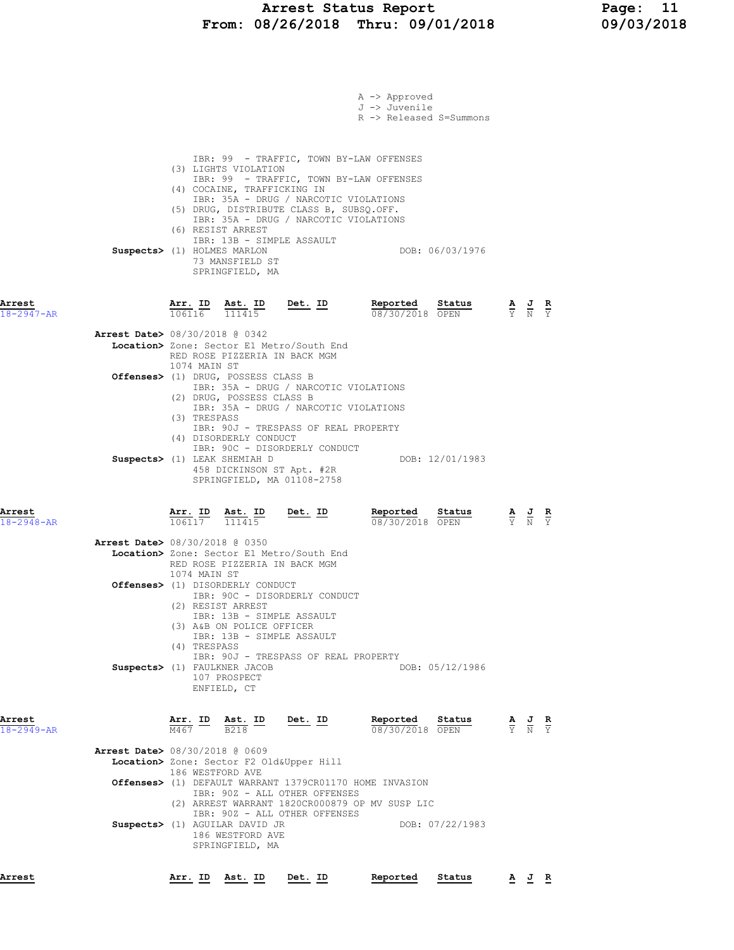# Arrest Status Report 11<br>18/26/2018 Thru: 09/01/2018 19/03/2018 From:  $08/26/2018$  Thru:  $09/01/2018$

|                            | A -> Approved<br>J -> Juvenile<br>R -> Released S=Summons                                                                                                                                                                                                                                                                                                                                                         |                                                                                                 |
|----------------------------|-------------------------------------------------------------------------------------------------------------------------------------------------------------------------------------------------------------------------------------------------------------------------------------------------------------------------------------------------------------------------------------------------------------------|-------------------------------------------------------------------------------------------------|
|                            | IBR: 99 - TRAFFIC, TOWN BY-LAW OFFENSES<br>(3) LIGHTS VIOLATION<br>IBR: 99 - TRAFFIC, TOWN BY-LAW OFFENSES<br>(4) COCAINE, TRAFFICKING IN<br>IBR: 35A - DRUG / NARCOTIC VIOLATIONS<br>(5) DRUG, DISTRIBUTE CLASS B, SUBSQ.OFF.<br>IBR: 35A - DRUG / NARCOTIC VIOLATIONS<br>(6) RESIST ARREST<br>IBR: 13B - SIMPLE ASSAULT<br>DOB: 06/03/1976<br>Suspects> (1) HOLMES MARLON<br>73 MANSFIELD ST<br>SPRINGFIELD, MA |                                                                                                 |
| Arrest<br>$18 - 2947 - AR$ | Reported<br>$\frac{\texttt{Arr.}}{106116}$ $\frac{\texttt{Ab.}}{111415}$ Det. ID<br>Status<br>08/30/2018 OPEN                                                                                                                                                                                                                                                                                                     | $\frac{\mathbf{A}}{\mathbf{Y}}$ $\frac{\mathbf{J}}{\mathbf{N}}$ $\frac{\mathbf{R}}{\mathbf{Y}}$ |
|                            | <b>Arrest Date&gt;</b> 08/30/2018 @ 0342<br>Location> Zone: Sector E1 Metro/South End<br>RED ROSE PIZZERIA IN BACK MGM                                                                                                                                                                                                                                                                                            |                                                                                                 |
|                            | 1074 MAIN ST<br>Offenses> (1) DRUG, POSSESS CLASS B<br>IBR: 35A - DRUG / NARCOTIC VIOLATIONS<br>(2) DRUG, POSSESS CLASS B<br>IBR: 35A - DRUG / NARCOTIC VIOLATIONS<br>(3) TRESPASS                                                                                                                                                                                                                                |                                                                                                 |
|                            | IBR: 90J - TRESPASS OF REAL PROPERTY<br>(4) DISORDERLY CONDUCT<br>IBR: 90C - DISORDERLY CONDUCT<br>Suspects> (1) LEAK SHEMIAH D<br>DOB: 12/01/1983<br>458 DICKINSON ST Apt. #2R<br>SPRINGFIELD, MA 01108-2758                                                                                                                                                                                                     |                                                                                                 |
| Arrest<br>$18 - 2948 - AR$ | Reported<br>$\frac{\texttt{Arr.}}{106117}$ $\frac{\texttt{Ab.}}{111415}$ Det. ID<br><u>Status</u><br>08/30/2018 OPEN                                                                                                                                                                                                                                                                                              | $\frac{\mathbf{A}}{\mathbf{Y}}$ $\frac{\mathbf{J}}{\mathbf{N}}$                                 |
|                            | <b>Arrest Date&gt; 08/30/2018 @ 0350</b><br>Location> Zone: Sector E1 Metro/South End<br>RED ROSE PIZZERIA IN BACK MGM<br>1074 MAIN ST                                                                                                                                                                                                                                                                            |                                                                                                 |
|                            | Offenses> (1) DISORDERLY CONDUCT<br>IBR: 90C - DISORDERLY CONDUCT<br>(2) RESIST ARREST<br>IBR: 13B - SIMPLE ASSAULT<br>(3) A&B ON POLICE OFFICER<br>IBR: 13B - SIMPLE ASSAULT<br>(4) TRESPASS                                                                                                                                                                                                                     |                                                                                                 |
|                            | IBR: 90J - TRESPASS OF REAL PROPERTY<br>Suspects> (1) FAULKNER JACOB<br>DOB: 05/12/1986<br>107 PROSPECT<br>ENFIELD, CT                                                                                                                                                                                                                                                                                            |                                                                                                 |
| Arrest<br>$18 - 2949 - AR$ | Arr. ID<br>Det. ID<br>Reported<br>Ast. ID<br>Status<br>$\overline{M467}$<br><b>B218</b><br>08/30/2018 OPEN                                                                                                                                                                                                                                                                                                        |                                                                                                 |
|                            | <b>Arrest Date&gt; 08/30/2018 @ 0609</b><br>Location> Zone: Sector F2 Old&Upper Hill<br>186 WESTFORD AVE<br>Offenses> (1) DEFAULT WARRANT 1379CR01170 HOME INVASION<br>IBR: 90Z - ALL OTHER OFFENSES<br>(2) ARREST WARRANT 1820CR000879 OP MV SUSP LIC                                                                                                                                                            |                                                                                                 |
|                            | IBR: 90Z - ALL OTHER OFFENSES<br>Suspects> (1) AGUILAR DAVID JR<br>DOB: 07/22/1983<br>186 WESTFORD AVE<br>SPRINGFIELD, MA                                                                                                                                                                                                                                                                                         |                                                                                                 |
| Arrest                     | Det. ID<br>Reported<br>Status<br>Arr. ID Ast. ID                                                                                                                                                                                                                                                                                                                                                                  | AJR                                                                                             |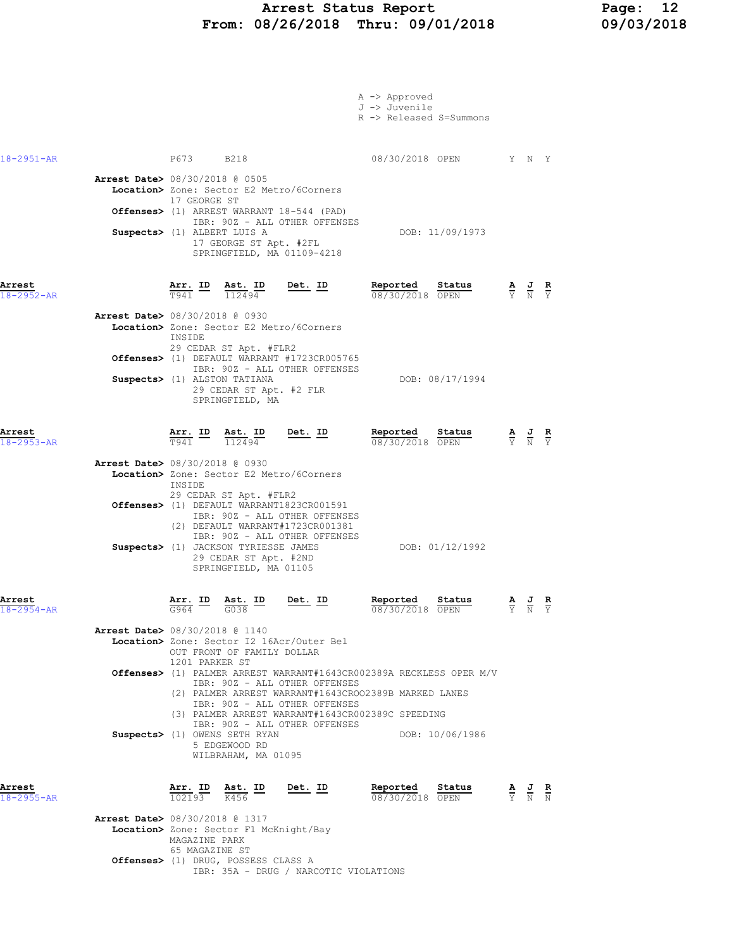#### Arrest Status Report Page: 12 From: 08/26/2018 Thru: 09/01/2018 09/03/2018

|                            |                                                                                                                                                                                                                                                                                                                                                                                                                                                                                                                                                       | A -> Approved<br>J -> Juvenile<br>R -> Released S=Summons |                                                                                                 |                             |  |
|----------------------------|-------------------------------------------------------------------------------------------------------------------------------------------------------------------------------------------------------------------------------------------------------------------------------------------------------------------------------------------------------------------------------------------------------------------------------------------------------------------------------------------------------------------------------------------------------|-----------------------------------------------------------|-------------------------------------------------------------------------------------------------|-----------------------------|--|
| 18-2951-AR                 | P673 B218                                                                                                                                                                                                                                                                                                                                                                                                                                                                                                                                             | 08/30/2018 OPEN                                           | Y N Y                                                                                           |                             |  |
|                            | <b>Arrest Date&gt; 08/30/2018 @ 0505</b><br>Location> Zone: Sector E2 Metro/6Corners<br>17 GEORGE ST<br>Offenses> (1) ARREST WARRANT 18-544 (PAD)<br>IBR: 90Z - ALL OTHER OFFENSES<br>Suspects> (1) ALBERT LUIS A<br>17 GEORGE ST Apt. #2FL<br>SPRINGFIELD, MA 01109-4218                                                                                                                                                                                                                                                                             | DOB: 11/09/1973                                           |                                                                                                 |                             |  |
| Arrest<br>$18 - 2952 - AR$ | Det. ID<br>Arr. ID<br><u>Ast. ID</u><br>T941<br>112494<br><b>Arrest Date&gt;</b> 08/30/2018 @ 0930<br>Location> Zone: Sector E2 Metro/6Corners<br>INSIDE<br>29 CEDAR ST Apt. #FLR2<br>Offenses> (1) DEFAULT WARRANT #1723CR005765<br>IBR: 90Z - ALL OTHER OFFENSES                                                                                                                                                                                                                                                                                    | Reported<br>Status<br>08/30/2018 OPEN                     | $rac{\mathbf{A}}{\Upsilon}$                                                                     | $\frac{J}{N}$ $\frac{R}{Y}$ |  |
| Arrest                     | Suspects> (1) ALSTON TATIANA<br>29 CEDAR ST Apt. #2 FLR<br>SPRINGFIELD, MA<br>$\frac{\text{Arr.}}{\text{rad}}$ ID<br><u>Ast. ID</u><br><u>Det. ID</u>                                                                                                                                                                                                                                                                                                                                                                                                 | DOB: 08/17/1994<br>Reported<br>Status                     |                                                                                                 |                             |  |
| $18 - 2953 - AR$           | T941<br>112494<br><b>Arrest Date&gt;</b> 08/30/2018 @ 0930<br>Location> Zone: Sector E2 Metro/6Corners<br>INSIDE<br>29 CEDAR ST Apt. #FLR2<br>Offenses> (1) DEFAULT WARRANT1823CR001591<br>IBR: 90Z - ALL OTHER OFFENSES<br>(2) DEFAULT WARRANT#1723CR001381<br>IBR: 90Z - ALL OTHER OFFENSES<br>Suspects> (1) JACKSON TYRIESSE JAMES<br>29 CEDAR ST Apt. #2ND<br>SPRINGFIELD, MA 01105                                                                                                                                                               | 08/30/2018 OPEN<br>DOB: 01/12/1992                        | $\frac{\mathbf{A}}{\mathbf{Y}}$ $\frac{\mathbf{J}}{\mathbf{N}}$ $\frac{\mathbf{R}}{\mathbf{Y}}$ |                             |  |
| Arrest<br>$18 - 2954 - AR$ | Arr. ID<br>Ast. ID<br>Det. ID<br>G964<br>G038<br><b>Arrest Date&gt;</b> 08/30/2018 @ 1140<br>Location> Zone: Sector I2 16Acr/Outer Bel<br>OUT FRONT OF FAMILY DOLLAR<br>1201 PARKER ST<br>Offenses> (1) PALMER ARREST WARRANT#1643CR002389A RECKLESS OPER M/V<br>IBR: 90Z - ALL OTHER OFFENSES<br>(2) PALMER ARREST WARRANT#1643CROO2389B MARKED LANES<br>IBR: 90Z - ALL OTHER OFFENSES<br>(3) PALMER ARREST WARRANT#1643CR002389C SPEEDING<br>IBR: 90Z - ALL OTHER OFFENSES<br>Suspects> (1) OWENS SETH RYAN<br>5 EDGEWOOD RD<br>WILBRAHAM, MA 01095 | Reported<br>Status<br>08/30/2018 OPEN<br>DOB: 10/06/1986  |                                                                                                 |                             |  |
| Arrest<br>18-2955-AR       | $\frac{\texttt{Arr. ID}}{102193}$<br>Ast. ID<br>$\frac{1}{K456}$<br>Det. ID<br><b>Arrest Date&gt; 08/30/2018 @ 1317</b><br>Location> Zone: Sector F1 McKnight/Bay                                                                                                                                                                                                                                                                                                                                                                                     | Reported<br>Status<br>08/30/2018 OPEN                     | $\frac{\mathbf{A}}{\mathbf{Y}}$ $\frac{\mathbf{J}}{\mathbf{N}}$ $\frac{\mathbf{R}}{\mathbf{N}}$ |                             |  |
|                            | MAGAZINE PARK<br>65 MAGAZINE ST<br>Offenses> (1) DRUG, POSSESS CLASS A                                                                                                                                                                                                                                                                                                                                                                                                                                                                                |                                                           |                                                                                                 |                             |  |

IBR: 35A - DRUG / NARCOTIC VIOLATIONS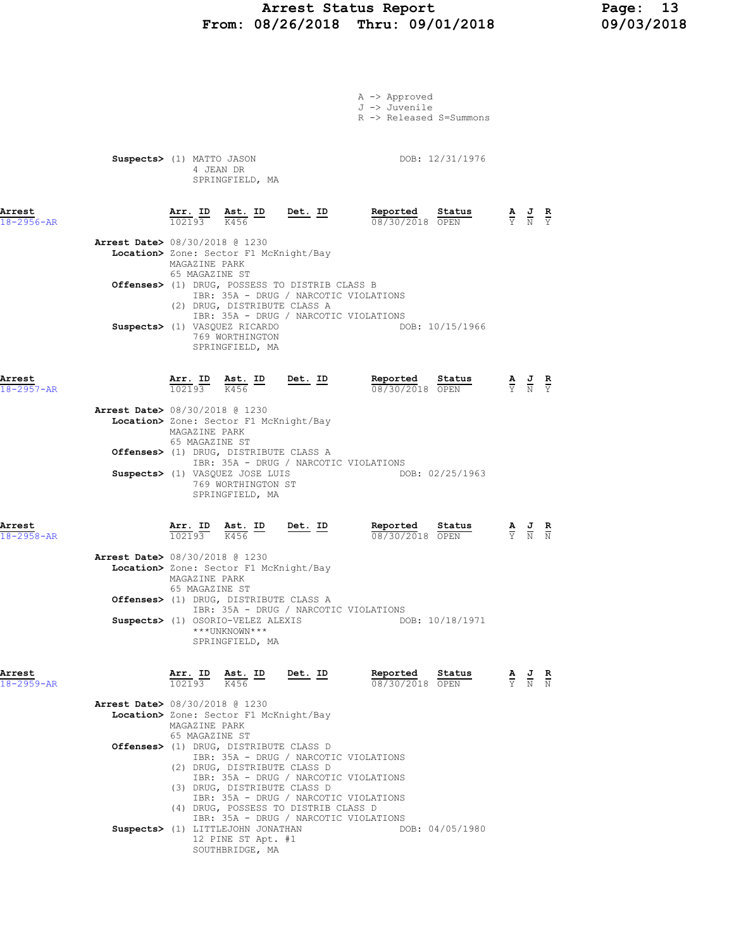# Arrest Status Report Page: 13 From: 08/26/2018 Thru: 09/01/2018

|                            |                                          |                                 |                                                                                      |                                                                         | A -> Approved                                            |                                                                                                 |  |
|----------------------------|------------------------------------------|---------------------------------|--------------------------------------------------------------------------------------|-------------------------------------------------------------------------|----------------------------------------------------------|-------------------------------------------------------------------------------------------------|--|
|                            |                                          |                                 |                                                                                      |                                                                         | J -> Juvenile                                            |                                                                                                 |  |
|                            |                                          |                                 |                                                                                      |                                                                         | R -> Released S=Summons                                  |                                                                                                 |  |
|                            |                                          |                                 |                                                                                      |                                                                         |                                                          |                                                                                                 |  |
|                            | Suspects> (1) MATTO JASON                |                                 |                                                                                      |                                                                         | DOB: 12/31/1976                                          |                                                                                                 |  |
|                            |                                          |                                 | 4 JEAN DR                                                                            |                                                                         |                                                          |                                                                                                 |  |
|                            |                                          |                                 | SPRINGFIELD, MA                                                                      |                                                                         |                                                          |                                                                                                 |  |
|                            |                                          |                                 |                                                                                      |                                                                         |                                                          |                                                                                                 |  |
| Arrest<br>$18 - 2956 - AR$ |                                          | 102193 K456                     | $\frac{\text{Arr.}}{102193}$ $\frac{\text{Ast.}}{K456}$ ID                           | $Det. ID$                                                               | Reported Status<br>08/30/2018 OPEN                       | $\frac{\mathbf{A}}{\mathbf{Y}}$ $\frac{\mathbf{J}}{\mathbf{N}}$ $\frac{\mathbf{R}}{\mathbf{Y}}$ |  |
|                            |                                          |                                 |                                                                                      |                                                                         |                                                          |                                                                                                 |  |
|                            | Arrest Date> 08/30/2018 @ 1230           |                                 |                                                                                      |                                                                         |                                                          |                                                                                                 |  |
|                            |                                          | MAGAZINE PARK                   | Location> Zone: Sector F1 McKnight/Bay                                               |                                                                         |                                                          |                                                                                                 |  |
|                            |                                          | 65 MAGAZINE ST                  |                                                                                      |                                                                         |                                                          |                                                                                                 |  |
|                            |                                          |                                 |                                                                                      | Offenses> (1) DRUG, POSSESS TO DISTRIB CLASS B                          | IBR: 35A - DRUG / NARCOTIC VIOLATIONS                    |                                                                                                 |  |
|                            |                                          |                                 | (2) DRUG, DISTRIBUTE CLASS A                                                         |                                                                         |                                                          |                                                                                                 |  |
|                            |                                          |                                 | Suspects> (1) VASQUEZ RICARDO                                                        |                                                                         | IBR: 35A - DRUG / NARCOTIC VIOLATIONS<br>DOB: 10/15/1966 |                                                                                                 |  |
|                            |                                          |                                 | 769 WORTHINGTON                                                                      |                                                                         |                                                          |                                                                                                 |  |
|                            |                                          |                                 | SPRINGFIELD, MA                                                                      |                                                                         |                                                          |                                                                                                 |  |
|                            |                                          |                                 |                                                                                      |                                                                         |                                                          |                                                                                                 |  |
| Arrest<br>$18 - 2957 - AR$ |                                          |                                 |                                                                                      | $\frac{\texttt{Arr.}}{102193}$ $\frac{\texttt{ Ast.}}{K456}$ ID Det. ID | Reported Status<br>08/30/2018 OPEN                       | $\frac{\mathbf{A}}{\mathbf{Y}}$ $\frac{\mathbf{J}}{\mathbf{N}}$ $\frac{\mathbf{R}}{\mathbf{Y}}$ |  |
|                            |                                          |                                 |                                                                                      |                                                                         |                                                          |                                                                                                 |  |
|                            | Arrest Date> 08/30/2018 @ 1230           |                                 | Location> Zone: Sector F1 McKnight/Bay                                               |                                                                         |                                                          |                                                                                                 |  |
|                            |                                          | MAGAZINE PARK                   |                                                                                      |                                                                         |                                                          |                                                                                                 |  |
|                            |                                          | 65 MAGAZINE ST                  | <b>Offenses&gt;</b> (1) DRUG, DISTRIBUTE CLASS A                                     |                                                                         |                                                          |                                                                                                 |  |
|                            |                                          |                                 |                                                                                      |                                                                         | IBR: 35A - DRUG / NARCOTIC VIOLATIONS                    |                                                                                                 |  |
|                            |                                          |                                 | Suspects> (1) VASQUEZ JOSE LUIS<br>769 WORTHINGTON ST                                |                                                                         | DOB: 02/25/1963                                          |                                                                                                 |  |
|                            |                                          |                                 | SPRINGFIELD, MA                                                                      |                                                                         |                                                          |                                                                                                 |  |
|                            |                                          |                                 |                                                                                      |                                                                         |                                                          |                                                                                                 |  |
| Arrest                     |                                          |                                 | $\frac{\text{Arr.}}{102193}$ $\frac{\text{dst.}}{K456}$ $\frac{\text{ID}}{\text{L}}$ | $Det. ID$                                                               | Reported Status                                          | $\frac{\mathbf{A}}{\mathbf{Y}}$ $\frac{\mathbf{J}}{\mathbf{N}}$ $\frac{\mathbf{R}}{\mathbf{N}}$ |  |
| $18 - 2958 - AR$           |                                          |                                 |                                                                                      |                                                                         | 08/30/2018 OPEN                                          |                                                                                                 |  |
|                            | <b>Arrest Date&gt; 08/30/2018 @ 1230</b> |                                 |                                                                                      |                                                                         |                                                          |                                                                                                 |  |
|                            |                                          |                                 | Location> Zone: Sector F1 McKnight/Bay                                               |                                                                         |                                                          |                                                                                                 |  |
|                            |                                          | MAGAZINE PARK<br>65 MAGAZINE ST |                                                                                      |                                                                         |                                                          |                                                                                                 |  |
|                            |                                          |                                 | Offenses> (1) DRUG, DISTRIBUTE CLASS A                                               |                                                                         |                                                          |                                                                                                 |  |
|                            |                                          |                                 | Suspects> (1) OSORIO-VELEZ ALEXIS                                                    |                                                                         | IBR: 35A - DRUG / NARCOTIC VIOLATIONS<br>DOB: 10/18/1971 |                                                                                                 |  |
|                            |                                          |                                 | ***UNKNOWN***                                                                        |                                                                         |                                                          |                                                                                                 |  |
|                            |                                          |                                 | SPRINGFIELD, MA                                                                      |                                                                         |                                                          |                                                                                                 |  |
|                            |                                          |                                 |                                                                                      |                                                                         |                                                          |                                                                                                 |  |
| Arrest<br>$18 - 2959 - AR$ |                                          | 102193 K456                     | Arr. ID Ast. ID                                                                      | <u>Det. ID</u>                                                          | Reported<br>Status<br>08/30/2018 OPEN                    | $\frac{\mathbf{A}}{\mathbf{Y}}$ $\frac{\mathbf{J}}{\mathbf{N}}$ $\frac{\mathbf{R}}{\mathbf{N}}$ |  |
|                            |                                          |                                 |                                                                                      |                                                                         |                                                          |                                                                                                 |  |
|                            | Arrest Date> 08/30/2018 @ 1230           |                                 | Location> Zone: Sector F1 McKnight/Bay                                               |                                                                         |                                                          |                                                                                                 |  |
|                            |                                          | MAGAZINE PARK                   |                                                                                      |                                                                         |                                                          |                                                                                                 |  |
|                            |                                          | 65 MAGAZINE ST                  | Offenses> (1) DRUG, DISTRIBUTE CLASS D                                               |                                                                         |                                                          |                                                                                                 |  |
|                            |                                          |                                 |                                                                                      |                                                                         | IBR: 35A - DRUG / NARCOTIC VIOLATIONS                    |                                                                                                 |  |
|                            |                                          |                                 | (2) DRUG, DISTRIBUTE CLASS D                                                         |                                                                         | IBR: 35A - DRUG / NARCOTIC VIOLATIONS                    |                                                                                                 |  |
|                            |                                          |                                 | (3) DRUG, DISTRIBUTE CLASS D                                                         |                                                                         |                                                          |                                                                                                 |  |
|                            |                                          |                                 |                                                                                      | (4) DRUG, POSSESS TO DISTRIB CLASS D                                    | IBR: 35A - DRUG / NARCOTIC VIOLATIONS                    |                                                                                                 |  |
|                            |                                          |                                 |                                                                                      |                                                                         | IBR: 35A - DRUG / NARCOTIC VIOLATIONS                    |                                                                                                 |  |
|                            |                                          |                                 | Suspects> (1) LITTLEJOHN JONATHAN                                                    |                                                                         | DOB: 04/05/1980                                          |                                                                                                 |  |

 12 PINE ST Apt. #1 SOUTHBRIDGE, MA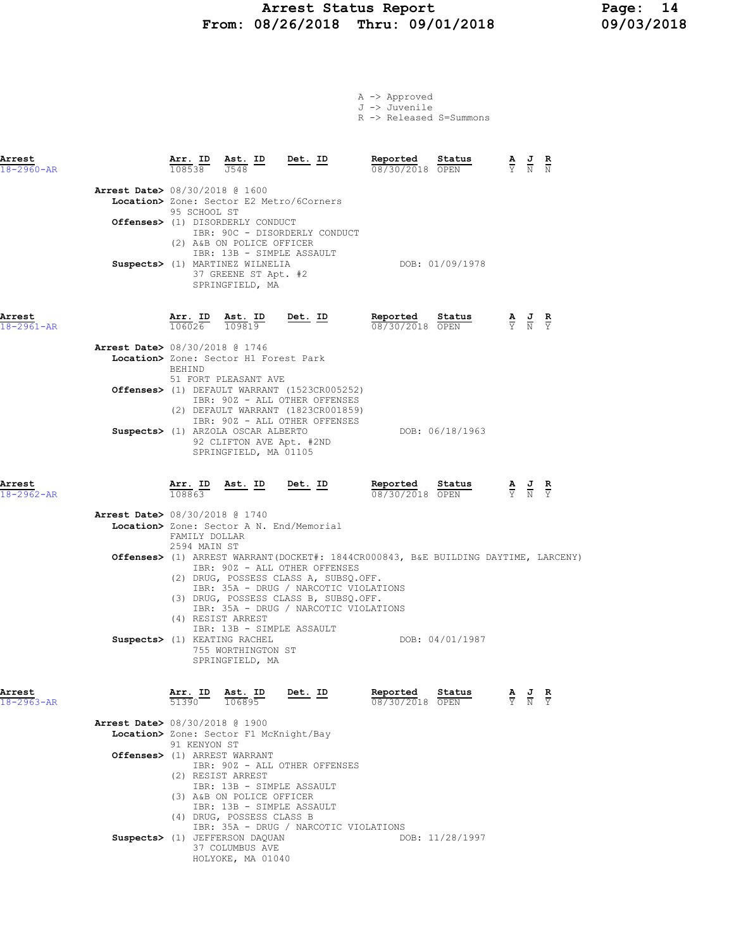### Arrest Status Report Page: 14 From: 08/26/2018 Thru: 09/01/2018 09/03/2018

A -> Approved J -> Juvenile

|                            |                                          |                                                   |                                                                                                                                                                         |                                                                                                                                                                                                   | R -> Released S=Summons                                                            |                                                                                                 |
|----------------------------|------------------------------------------|---------------------------------------------------|-------------------------------------------------------------------------------------------------------------------------------------------------------------------------|---------------------------------------------------------------------------------------------------------------------------------------------------------------------------------------------------|------------------------------------------------------------------------------------|-------------------------------------------------------------------------------------------------|
| Arrest<br>$18 - 2960 - AR$ |                                          | 108538                                            | $\frac{\text{Arr. ID}}{\text{--}}$ $\frac{\text{I}}{\text{--}}$ $\frac{\text{Ast. ID}}{\text{--}}$<br>J548                                                              | Det. ID                                                                                                                                                                                           | Reported<br>Status<br>08/30/2018 OPEN                                              | $\frac{\mathbf{A}}{\mathbf{Y}}$ $\frac{\mathbf{J}}{\mathbf{N}}$ $\frac{\mathbf{R}}{\mathbf{N}}$ |
|                            | <b>Arrest Date&gt;</b> 08/30/2018 @ 1600 | 95 SCHOOL ST                                      | Offenses> (1) DISORDERLY CONDUCT<br>(2) A&B ON POLICE OFFICER                                                                                                           | <b>Location&gt;</b> Zone: Sector E2 Metro/6Corners<br>IBR: 90C - DISORDERLY CONDUCT                                                                                                               |                                                                                    |                                                                                                 |
|                            |                                          |                                                   | IBR: 13B - SIMPLE ASSAULT<br>Suspects> (1) MARTINEZ WILNELIA<br>37 GREENE ST Apt. #2<br>SPRINGFIELD, MA                                                                 |                                                                                                                                                                                                   | DOB: 01/09/1978                                                                    |                                                                                                 |
| Arrest<br>$18 - 2961 - AR$ |                                          | Arr. ID<br>106026                                 | Ast. ID<br>109819                                                                                                                                                       | Det. ID                                                                                                                                                                                           | Reported<br>Status<br>08/30/2018 OPEN                                              | $\frac{\mathbf{A}}{\mathbf{Y}}$ $\frac{\mathbf{J}}{\mathbf{N}}$ $\frac{\mathbf{R}}{\mathbf{Y}}$ |
|                            | Arrest Date> 08/30/2018 @ 1746           | BEHIND                                            | Location> Zone: Sector H1 Forest Park<br>51 FORT PLEASANT AVE                                                                                                           |                                                                                                                                                                                                   |                                                                                    |                                                                                                 |
|                            |                                          |                                                   |                                                                                                                                                                         | Offenses> (1) DEFAULT WARRANT (1523CR005252)<br>IBR: 90Z - ALL OTHER OFFENSES<br>(2) DEFAULT WARRANT (1823CR001859)<br>IBR: 90Z - ALL OTHER OFFENSES                                              |                                                                                    |                                                                                                 |
|                            |                                          |                                                   | Suspects> (1) ARZOLA OSCAR ALBERTO<br>92 CLIFTON AVE Apt. #2ND<br>SPRINGFIELD, MA 01105                                                                                 |                                                                                                                                                                                                   | DOB: 06/18/1963                                                                    |                                                                                                 |
| Arrest<br>$18 - 2962 - AR$ |                                          | Arr. ID<br>108863                                 | <u>Ast. ID</u>                                                                                                                                                          | <u>Det. ID</u>                                                                                                                                                                                    | Reported<br>Status<br>08/30/2018 OPEN                                              | $\frac{\mathbf{A}}{\mathbf{Y}}$ $\frac{\mathbf{J}}{\mathbf{N}}$ $\frac{\mathbf{R}}{\mathbf{Y}}$ |
|                            | <b>Arrest Date&gt;</b> 08/30/2018 @ 1740 |                                                   |                                                                                                                                                                         |                                                                                                                                                                                                   |                                                                                    |                                                                                                 |
|                            |                                          | FAMILY DOLLAR<br>2594 MAIN ST                     |                                                                                                                                                                         | Location> Zone: Sector A N. End/Memorial                                                                                                                                                          |                                                                                    |                                                                                                 |
|                            |                                          |                                                   | (4) RESIST ARREST                                                                                                                                                       | IBR: 90Z - ALL OTHER OFFENSES<br>(2) DRUG, POSSESS CLASS A, SUBSQ.OFF.<br>IBR: 35A - DRUG / NARCOTIC VIOLATIONS<br>(3) DRUG, POSSESS CLASS B, SUBSQ.OFF.<br>IBR: 35A - DRUG / NARCOTIC VIOLATIONS | Offenses> (1) ARREST WARRANT(DOCKET#: 1844CR000843, B&E BUILDING DAYTIME, LARCENY) |                                                                                                 |
|                            |                                          |                                                   | IBR: 13B - SIMPLE ASSAULT<br>Suspects> (1) KEATING RACHEL<br>755 WORTHINGTON ST<br>SPRINGFIELD, MA                                                                      |                                                                                                                                                                                                   | DOB: 04/01/1987                                                                    |                                                                                                 |
| Arrest<br>18-2963-AR       |                                          | Arr. ID<br>$\overline{51390}$ $\overline{106895}$ | Ast. ID                                                                                                                                                                 | Det. ID                                                                                                                                                                                           | Reported<br>Status<br>08/30/2018 OPEN                                              | $\frac{\mathbf{A}}{\mathbf{Y}}$ $\frac{\mathbf{J}}{\mathbf{N}}$ $\frac{\mathbf{R}}{\mathbf{Y}}$ |
|                            | <b>Arrest Date&gt;</b> 08/30/2018 @ 1900 |                                                   |                                                                                                                                                                         |                                                                                                                                                                                                   |                                                                                    |                                                                                                 |
|                            |                                          | 91 KENYON ST                                      | Location> Zone: Sector F1 McKnight/Bay                                                                                                                                  |                                                                                                                                                                                                   |                                                                                    |                                                                                                 |
|                            |                                          |                                                   | Offenses> (1) ARREST WARRANT                                                                                                                                            |                                                                                                                                                                                                   |                                                                                    |                                                                                                 |
|                            |                                          |                                                   | (2) RESIST ARREST<br>IBR: 13B - SIMPLE ASSAULT<br>(3) A&B ON POLICE OFFICER<br>IBR: 13B - SIMPLE ASSAULT<br>(4) DRUG, POSSESS CLASS B<br>Suspects> (1) JEFFERSON DAQUAN | IBR: 90Z - ALL OTHER OFFENSES<br>IBR: 35A - DRUG / NARCOTIC VIOLATIONS                                                                                                                            | DOB: 11/28/1997                                                                    |                                                                                                 |
|                            |                                          |                                                   | 37 COLUMBUS AVE                                                                                                                                                         |                                                                                                                                                                                                   |                                                                                    |                                                                                                 |

HOLYOKE, MA 01040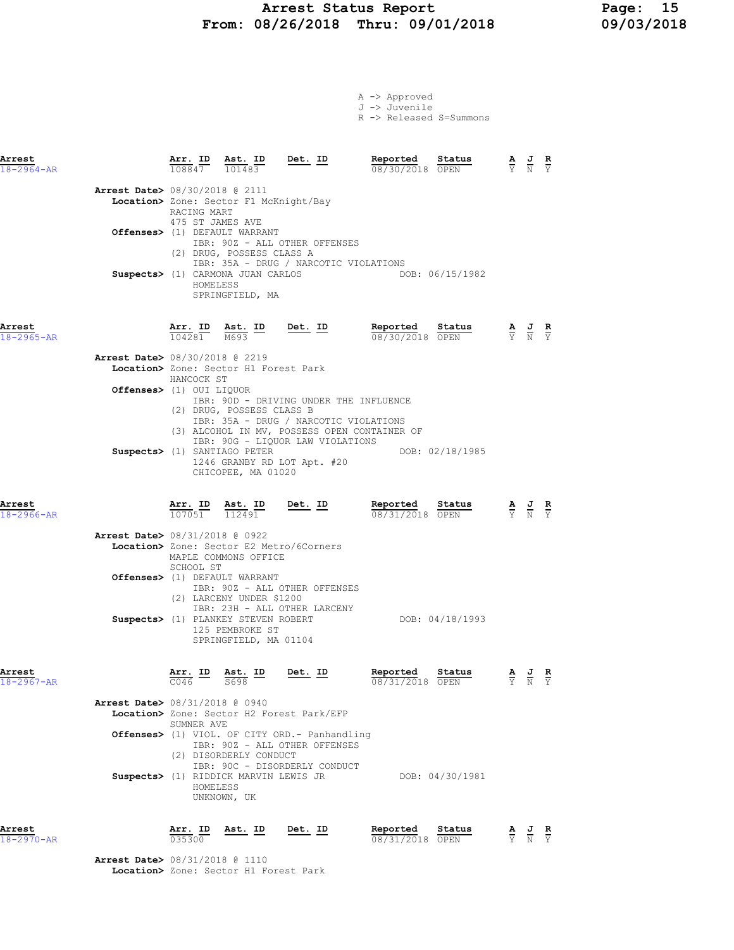# Arrest Status Report Page: 15<br>18/26/2018 Thru: 09/01/2018 09/03/2018 From: 08/26/2018 Thru: 09/01/2018

|  | A -> Approved |  |  |
|--|---------------|--|--|
|  | J -> Juvenile |  |  |
|  |               |  |  |

R -> Released S=Summons

| Arrest<br>$18 - 2964 - AR$ |                                          | Arr. ID<br>108847                           | Ast. ID<br>101483                                                                                                                                            | Det. ID                                                                                                                                                             | Reported<br>08/30/2018 OPEN | Status          | $\frac{A}{Y}$ $\frac{J}{N}$                                                                     |                                                                                                 | $\frac{\mathbf{R}}{Y}$ |
|----------------------------|------------------------------------------|---------------------------------------------|--------------------------------------------------------------------------------------------------------------------------------------------------------------|---------------------------------------------------------------------------------------------------------------------------------------------------------------------|-----------------------------|-----------------|-------------------------------------------------------------------------------------------------|-------------------------------------------------------------------------------------------------|------------------------|
|                            | <b>Arrest Date&gt;</b> 08/30/2018 @ 2111 | RACING MART<br>475 ST JAMES AVE<br>HOMELESS | Location> Zone: Sector F1 McKnight/Bay<br>Offenses> (1) DEFAULT WARRANT<br>(2) DRUG, POSSESS CLASS A<br>Suspects> (1) CARMONA JUAN CARLOS<br>SPRINGFIELD, MA | IBR: 90Z - ALL OTHER OFFENSES<br>IBR: 35A - DRUG / NARCOTIC VIOLATIONS                                                                                              |                             | DOB: 06/15/1982 |                                                                                                 |                                                                                                 |                        |
| Arrest<br>$18 - 2965 - AR$ |                                          | Arr. ID<br>104281                           | Ast. ID<br>M693                                                                                                                                              | Det. ID                                                                                                                                                             | Reported<br>08/30/2018 OPEN | Status          |                                                                                                 | $\frac{\mathbf{A}}{\mathbf{Y}}$ $\frac{\mathbf{J}}{\mathbf{N}}$ $\frac{\mathbf{R}}{\mathbf{Y}}$ |                        |
|                            | <b>Arrest Date&gt;</b> 08/30/2018 @ 2219 | HANCOCK ST                                  | Location> Zone: Sector H1 Forest Park                                                                                                                        |                                                                                                                                                                     |                             |                 |                                                                                                 |                                                                                                 |                        |
|                            | <b>Offenses&gt;</b> (1) OUI LIQUOR       |                                             | (2) DRUG, POSSESS CLASS B                                                                                                                                    | IBR: 90D - DRIVING UNDER THE INFLUENCE<br>IBR: 35A - DRUG / NARCOTIC VIOLATIONS<br>(3) ALCOHOL IN MV, POSSESS OPEN CONTAINER OF<br>IBR: 90G - LIQUOR LAW VIOLATIONS |                             |                 |                                                                                                 |                                                                                                 |                        |
|                            |                                          |                                             | Suspects> (1) SANTIAGO PETER<br>CHICOPEE, MA 01020                                                                                                           | 1246 GRANBY RD LOT Apt. #20                                                                                                                                         |                             | DOB: 02/18/1985 |                                                                                                 |                                                                                                 |                        |
| Arrest<br>18-2966-AR       |                                          | Arr. ID<br>107051                           | Ast. ID<br>112491                                                                                                                                            | <u>Det. ID</u>                                                                                                                                                      | Reported<br>08/31/2018 OPEN | Status          | $\frac{\mathbf{A}}{\mathbf{Y}}$ $\frac{\mathbf{J}}{\mathbf{N}}$ $\frac{\mathbf{R}}{\mathbf{Y}}$ |                                                                                                 |                        |
|                            | <b>Arrest Date&gt;</b> 08/31/2018 @ 0922 | SCHOOL ST                                   | Location> Zone: Sector E2 Metro/6Corners<br>MAPLE COMMONS OFFICE<br>Offenses> (1) DEFAULT WARRANT                                                            | IBR: 90Z - ALL OTHER OFFENSES                                                                                                                                       |                             |                 |                                                                                                 |                                                                                                 |                        |
|                            |                                          |                                             | (2) LARCENY UNDER \$1200<br>125 PEMBROKE ST<br>SPRINGFIELD, MA 01104                                                                                         | IBR: 23H - ALL OTHER LARCENY<br>Suspects> (1) PLANKEY STEVEN ROBERT                                                                                                 |                             | DOB: 04/18/1993 |                                                                                                 |                                                                                                 |                        |
| Arrest<br>18-2967-AR       |                                          | Arr. ID<br>C046                             | Ast. ID<br>S698                                                                                                                                              | <u>Det. ID</u>                                                                                                                                                      | Reported<br>08/31/2018 OPEN | Status          | А                                                                                               | $\frac{J}{N}$                                                                                   | R                      |
|                            | <b>Arrest Date&gt;</b> 08/31/2018 @ 0940 |                                             |                                                                                                                                                              | Location> Zone: Sector H2 Forest Park/EFP                                                                                                                           |                             |                 |                                                                                                 |                                                                                                 |                        |
|                            |                                          | SUMNER AVE                                  |                                                                                                                                                              | <b>Offenses&gt;</b> (1) VIOL. OF CITY ORD.- Panhandling                                                                                                             |                             |                 |                                                                                                 |                                                                                                 |                        |
|                            |                                          | HOMELESS                                    | (2) DISORDERLY CONDUCT<br>Suspects> (1) RIDDICK MARVIN LEWIS JR<br>UNKNOWN, UK                                                                               | IBR: 90Z - ALL OTHER OFFENSES<br>IBR: 90C - DISORDERLY CONDUCT                                                                                                      |                             | DOB: 04/30/1981 |                                                                                                 |                                                                                                 |                        |
| Arrest<br>$18 - 2970 - AR$ |                                          | Arr. ID<br>035300                           | Ast. ID                                                                                                                                                      | Det. ID                                                                                                                                                             | Reported<br>08/31/2018 OPEN | Status          |                                                                                                 | $\frac{\mathbf{A}}{\mathbf{Y}}$ $\frac{\mathbf{J}}{\mathbf{N}}$ $\frac{\mathbf{R}}{\mathbf{Y}}$ |                        |
|                            | <b>Arrest Date&gt;</b> 08/31/2018 @ 1110 |                                             |                                                                                                                                                              |                                                                                                                                                                     |                             |                 |                                                                                                 |                                                                                                 |                        |

Location> Zone: Sector H1 Forest Park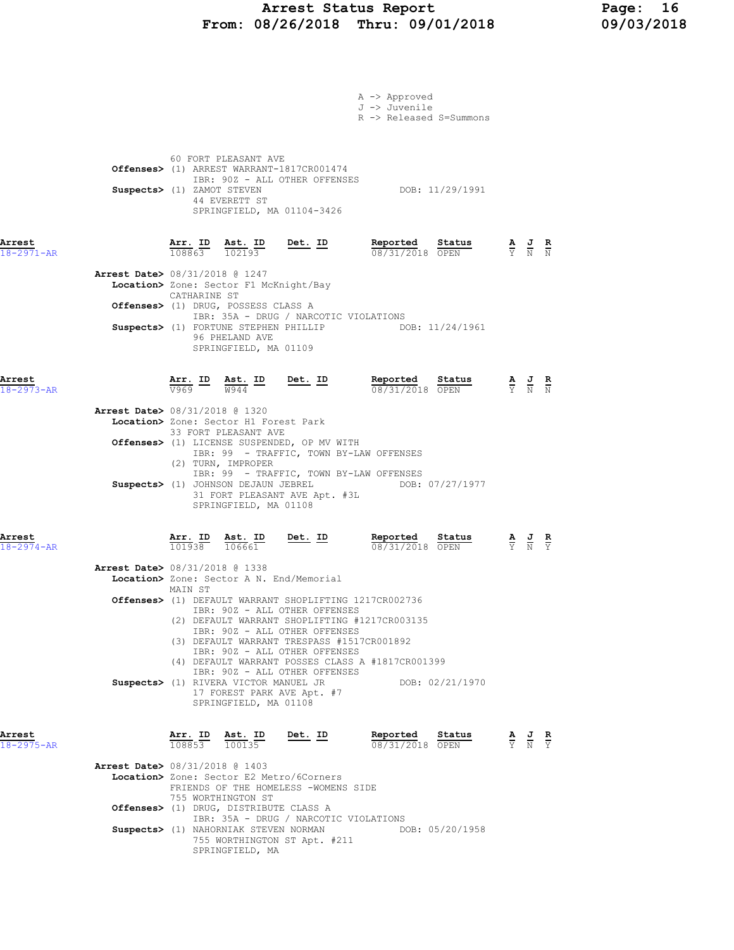### Arrest Status Report Page: 16 From: 08/26/2018 Thru: 09/01/2018 09/03/2018

|                                                                        |                                                                                 |                                                                                                                          |                                                                                                                                                                                                                                                                                                                                                                                                                                           | A -> Approved<br>J -> Juvenile<br>R -> Released S=Summons |                                                                                                 |                                                                                                 |                                                                                                       |  |
|------------------------------------------------------------------------|---------------------------------------------------------------------------------|--------------------------------------------------------------------------------------------------------------------------|-------------------------------------------------------------------------------------------------------------------------------------------------------------------------------------------------------------------------------------------------------------------------------------------------------------------------------------------------------------------------------------------------------------------------------------------|-----------------------------------------------------------|-------------------------------------------------------------------------------------------------|-------------------------------------------------------------------------------------------------|-------------------------------------------------------------------------------------------------------|--|
|                                                                        | Suspects> (1) ZAMOT STEVEN                                                      | 60 FORT PLEASANT AVE<br>44 EVERETT ST                                                                                    | Offenses> (1) ARREST WARRANT-1817CR001474<br>IBR: 90Z - ALL OTHER OFFENSES<br>SPRINGFIELD, MA 01104-3426                                                                                                                                                                                                                                                                                                                                  |                                                           | DOB: 11/29/1991                                                                                 |                                                                                                 |                                                                                                       |  |
| Arrest<br>$18 - 2971 - AR$                                             |                                                                                 |                                                                                                                          | $\frac{\texttt{Arr. ID}}{108863}$ $\frac{\texttt{ Ast. ID}}{102193}$ Det. ID                                                                                                                                                                                                                                                                                                                                                              | Reported Status<br>08/31/2018 OPEN                        |                                                                                                 |                                                                                                 | $\frac{\mathbf{A}}{\mathbf{Y}}$ $\frac{\mathbf{J}}{\mathbf{N}}$ $\frac{\mathbf{R}}{\mathbf{N}}$       |  |
| Arrest Date> 08/31/2018 @ 1247                                         | CATHARINE ST                                                                    | Location> Zone: Sector F1 McKnight/Bay<br>Offenses> (1) DRUG, POSSESS CLASS A<br>96 PHELAND AVE<br>SPRINGFIELD, MA 01109 | IBR: 35A - DRUG / NARCOTIC VIOLATIONS<br>Suspects> (1) FORTUNE STEPHEN PHILLIP DOB: 11/24/1961                                                                                                                                                                                                                                                                                                                                            |                                                           |                                                                                                 |                                                                                                 |                                                                                                       |  |
| Arrest<br>$18 - 2973 - AR$<br><b>Arrest Date&gt; 08/31/2018 @ 1320</b> |                                                                                 | Location> Zone: Sector H1 Forest Park<br>33 FORT PLEASANT AVE<br>(2) TURN, IMPROPER<br>SPRINGFIELD, MA 01108             | $\frac{\texttt{Arr.}}{\sqrt{969}}$ ID $\frac{\texttt{ Ast.}}{\sqrt{9944}}$ ID Det. ID<br>Offenses> (1) LICENSE SUSPENDED, OP MV WITH<br>IBR: 99 - TRAFFIC, TOWN BY-LAW OFFENSES<br>IBR: 99 - TRAFFIC, TOWN BY-LAW OFFENSES<br>Suspects> (1) JOHNSON DEJAUN JEBREL DOB: 07/27/1977<br>31 FORT PLEASANT AVE Apt. #3L                                                                                                                        | Reported Status<br>08/31/2018 OPEN                        | $\frac{\mathbf{A}}{\mathbf{Y}}$ $\frac{\mathbf{J}}{\mathbf{N}}$ $\frac{\mathbf{R}}{\mathbf{N}}$ |                                                                                                 |                                                                                                       |  |
| Arrest<br>$18 - 2974 - AR$<br><b>Arrest Date&gt;</b> 08/31/2018 @ 1338 | $\frac{\texttt{Arr. ID}}{101938}$ $\frac{\texttt{ Ast. ID}}{106661}$<br>MAIN ST | Suspects> (1) RIVERA VICTOR MANUEL JR<br>SPRINGFIELD, MA 01108                                                           | <u>Det.</u> ID<br>Location> Zone: Sector A N. End/Memorial<br>Offenses> (1) DEFAULT WARRANT SHOPLIFTING 1217CR002736<br>IBR: 90Z - ALL OTHER OFFENSES<br>(2) DEFAULT WARRANT SHOPLIFTING #1217CR003135<br>IBR: 90Z - ALL OTHER OFFENSES<br>(3) DEFAULT WARRANT TRESPASS #1517CR001892<br>IBR: 90Z - ALL OTHER OFFENSES<br>(4) DEFAULT WARRANT POSSES CLASS A #1817CR001399<br>IBR: 90Z - ALL OTHER OFFENSES<br>17 FOREST PARK AVE Apt. #7 | Reported Status<br>08/31/2018 OPEN<br>DOB: 02/21/1970     |                                                                                                 |                                                                                                 | $\frac{\mathbf{A}}{\overline{Y}}$ $\frac{\mathbf{J}}{\overline{N}}$ $\frac{\mathbf{R}}{\overline{Y}}$ |  |
| Arrest<br>18-2975-AR<br><b>Arrest Date&gt;</b> 08/31/2018 @ 1403       | Arr. ID<br>108853 100135<br>755 WORTHINGTON ST                                  | Offenses> (1) DRUG, DISTRIBUTE CLASS A<br>Suspects> (1) NAHORNIAK STEVEN NORMAN<br>SPRINGFIELD, MA                       | Ast. ID Det. ID<br>Location> Zone: Sector E2 Metro/6Corners<br>FRIENDS OF THE HOMELESS -WOMENS SIDE<br>IBR: 35A - DRUG / NARCOTIC VIOLATIONS<br>755 WORTHINGTON ST Apt. #211                                                                                                                                                                                                                                                              | Reported Status<br>08/31/2018 OPEN                        | DOB: 05/20/1958                                                                                 | $\frac{\mathbf{A}}{\mathbf{Y}}$ $\frac{\mathbf{J}}{\mathbf{N}}$ $\frac{\mathbf{R}}{\mathbf{Y}}$ |                                                                                                       |  |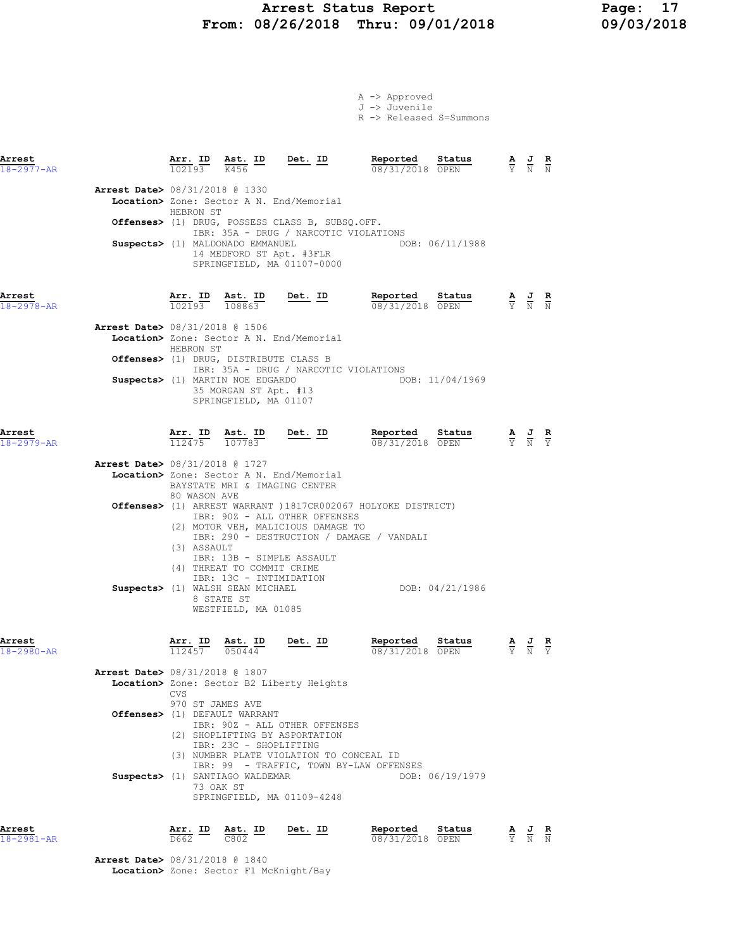# Arrest Status Report Page: 17 From: 08/26/2018 Thru: 09/01/2018

|                                          |                             |                                                                                                                                |                                                                                                                                                                                                | A -> Approved<br>J -> Juvenile<br>R -> Released S=Summons                                                                     |                                                                                                 |                                                                                                 |  |
|------------------------------------------|-----------------------------|--------------------------------------------------------------------------------------------------------------------------------|------------------------------------------------------------------------------------------------------------------------------------------------------------------------------------------------|-------------------------------------------------------------------------------------------------------------------------------|-------------------------------------------------------------------------------------------------|-------------------------------------------------------------------------------------------------|--|
| Arrest<br>$18 - 2977 - AR$               |                             |                                                                                                                                | $\frac{\texttt{Arr.}}{102193}$ $\frac{\texttt{ Ast.}}{K456}$ ID Det. ID                                                                                                                        | Reported<br>Status<br>08/31/2018 OPEN                                                                                         |                                                                                                 | $\frac{\mathbf{A}}{\mathbf{Y}}$ $\frac{\mathbf{J}}{\mathbf{N}}$ $\frac{\mathbf{R}}{\mathbf{N}}$ |  |
| <b>Arrest Date&gt;</b> 08/31/2018 @ 1330 | HEBRON ST                   | Suspects> (1) MALDONADO EMMANUEL                                                                                               | Location> Zone: Sector A N. End/Memorial<br>Offenses> (1) DRUG, POSSESS CLASS B, SUBSQ.OFF.<br>IBR: 35A - DRUG / NARCOTIC VIOLATIONS<br>14 MEDFORD ST Apt. #3FLR<br>SPRINGFIELD, MA 01107-0000 | DOB: 06/11/1988                                                                                                               |                                                                                                 |                                                                                                 |  |
| Arrest<br>$18 - 2978 - AR$               |                             |                                                                                                                                | $\frac{\texttt{Arr. ID}}{102193}$ $\frac{\texttt{ Ast. ID}}{108863}$ Det. ID                                                                                                                   | Reported<br>Status<br>08/31/2018 OPEN                                                                                         | $\frac{\mathbf{A}}{\mathbf{Y}}$ $\frac{\mathbf{J}}{\mathbf{N}}$ $\frac{\mathbf{R}}{\mathbf{N}}$ |                                                                                                 |  |
| Arrest Date> 08/31/2018 @ 1506           | HEBRON ST                   | Suspects> (1) MARTIN NOE EDGARDO<br>35 MORGAN ST Apt. #13<br>SPRINGFIELD, MA 01107                                             | Location> Zone: Sector A N. End/Memorial<br>Offenses> (1) DRUG, DISTRIBUTE CLASS B<br>IBR: 35A - DRUG / NARCOTIC VIOLATIONS                                                                    | DOB: 11/04/1969                                                                                                               |                                                                                                 |                                                                                                 |  |
| Arrest<br>18-2979-AR                     |                             |                                                                                                                                | $\frac{\texttt{Arr.}}{112475}$ $\frac{\texttt{Ab.}}{107783}$ Det. ID                                                                                                                           | <u>Reported</u><br>Status<br>08/31/2018 OPEN                                                                                  |                                                                                                 | $\frac{\mathbf{A}}{\mathbf{Y}}$ $\frac{\mathbf{J}}{\mathbf{N}}$ $\frac{\mathbf{R}}{\mathbf{Y}}$ |  |
| <b>Arrest Date&gt;</b> 08/31/2018 @ 1727 | 80 WASON AVE<br>(3) ASSAULT | (4) THREAT TO COMMIT CRIME<br>IBR: 13C - INTIMIDATION<br>Suspects> (1) WALSH SEAN MICHAEL<br>8 STATE ST<br>WESTFIELD, MA 01085 | Location> Zone: Sector A N. End/Memorial<br>BAYSTATE MRI & IMAGING CENTER<br>IBR: 90Z - ALL OTHER OFFENSES<br>(2) MOTOR VEH, MALICIOUS DAMAGE TO<br>IBR: 13B - SIMPLE ASSAULT                  | Offenses> (1) ARREST WARRANT ) 1817CR002067 HOLYOKE DISTRICT)<br>IBR: 290 - DESTRUCTION / DAMAGE / VANDALI<br>DOB: 04/21/1986 |                                                                                                 |                                                                                                 |  |
| Arrest<br>18-2980-AR                     |                             | $\overline{112457}$ $\overline{050444}$                                                                                        | Arr. ID Ast. ID Det. ID                                                                                                                                                                        | Reported Status<br>08/31/2018 OPEN                                                                                            |                                                                                                 | $\frac{\mathbf{A}}{\mathbf{Y}}$ $\frac{\mathbf{J}}{\mathbf{N}}$ $\frac{\mathbf{R}}{\mathbf{Y}}$ |  |
| Arrest Date> 08/31/2018 @ 1807           | <b>CVS</b>                  |                                                                                                                                | Location> Zone: Sector B2 Liberty Heights                                                                                                                                                      |                                                                                                                               |                                                                                                 |                                                                                                 |  |
|                                          | 970 ST JAMES AVE            | Offenses> (1) DEFAULT WARRANT<br>IBR: 23C - SHOPLIFTING                                                                        | IBR: 90Z - ALL OTHER OFFENSES<br>(2) SHOPLIFTING BY ASPORTATION<br>(3) NUMBER PLATE VIOLATION TO CONCEAL ID                                                                                    |                                                                                                                               |                                                                                                 |                                                                                                 |  |
|                                          |                             | Suspects> (1) SANTIAGO WALDEMAR<br>73 OAK ST                                                                                   | SPRINGFIELD, MA 01109-4248                                                                                                                                                                     | IBR: 99 - TRAFFIC, TOWN BY-LAW OFFENSES<br>DOB: 06/19/1979                                                                    |                                                                                                 |                                                                                                 |  |

| Arrest     |                                | Arr. | ID | Ast. ID | Det. ID | Reported        | Status |        | AJ R  | $\sim$ |
|------------|--------------------------------|------|----|---------|---------|-----------------|--------|--------|-------|--------|
| 18-2981-AR |                                | D662 |    | C802    |         | 08/31/2018 OPEN |        | $\sim$ | Y N N |        |
|            | Arrest Date> 08/31/2018 @ 1840 |      |    |         |         |                 |        |        |       |        |

Location> Zone: Sector F1 McKnight/Bay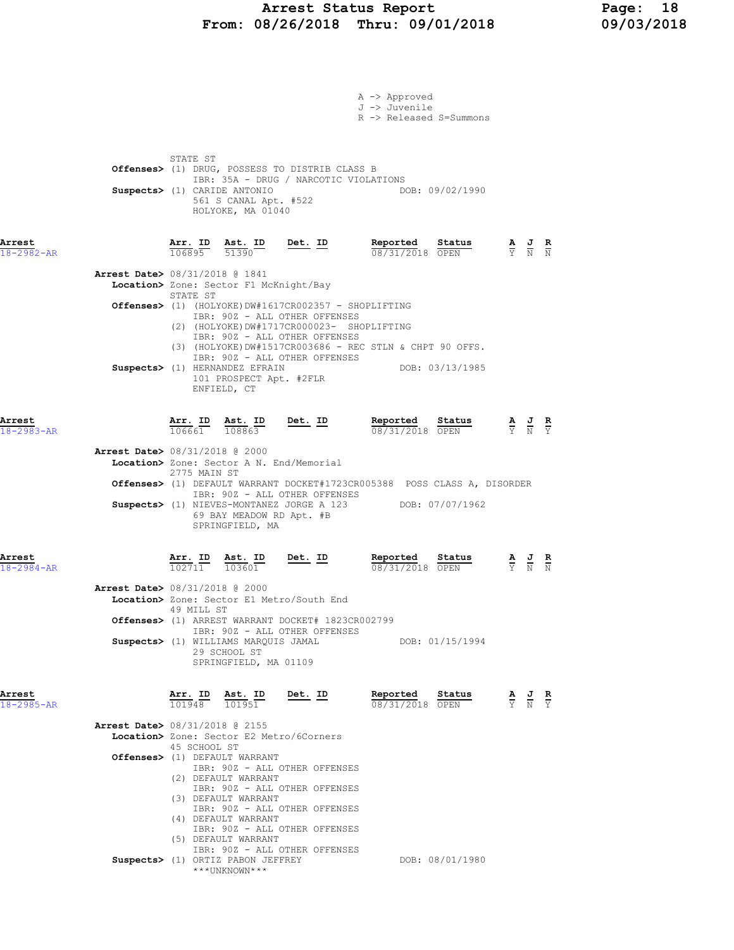### Arrest Status Report Page: 18 From: 08/26/2018 Thru: 09/01/2018 09/03/2018

|                            |                                                                                                                                                                                                                                                                                        |                                       | A -> Approved<br>J -> Juvenile<br>R -> Released S=Summons |                                                                                                 |                                                                                                 |                                                                                                 |  |
|----------------------------|----------------------------------------------------------------------------------------------------------------------------------------------------------------------------------------------------------------------------------------------------------------------------------------|---------------------------------------|-----------------------------------------------------------|-------------------------------------------------------------------------------------------------|-------------------------------------------------------------------------------------------------|-------------------------------------------------------------------------------------------------|--|
|                            | STATE ST<br>Offenses> (1) DRUG, POSSESS TO DISTRIB CLASS B<br>Suspects> (1) CARIDE ANTONIO<br>561 S CANAL Apt. #522<br>HOLYOKE, MA 01040                                                                                                                                               | IBR: 35A - DRUG / NARCOTIC VIOLATIONS |                                                           | DOB: 09/02/1990                                                                                 |                                                                                                 |                                                                                                 |  |
| Arrest<br>$18 - 2982 - AR$ | 106895 51390                                                                                                                                                                                                                                                                           |                                       | Reported Status<br>08/31/2018 OPEN                        | $\frac{\mathbf{A}}{\mathbf{Y}}$ $\frac{\mathbf{J}}{\mathbf{N}}$ $\frac{\mathbf{R}}{\mathbf{N}}$ |                                                                                                 |                                                                                                 |  |
|                            | <b>Arrest Date&gt;</b> 08/31/2018 @ 1841<br>Location> Zone: Sector F1 McKnight/Bay<br>STATE ST                                                                                                                                                                                         |                                       |                                                           |                                                                                                 |                                                                                                 |                                                                                                 |  |
|                            | <b>Offenses&gt;</b> (1) (HOLYOKE)DW#1617CR002357 - SHOPLIFTING<br>IBR: 90Z - ALL OTHER OFFENSES<br>(2) (HOLYOKE) DW#1717CR000023- SHOPLIFTING<br>IBR: 90Z - ALL OTHER OFFENSES                                                                                                         |                                       |                                                           |                                                                                                 |                                                                                                 |                                                                                                 |  |
|                            | (3) (HOLYOKE) DW#1517CR003686 - REC STLN & CHPT 90 OFFS.<br>IBR: 90Z - ALL OTHER OFFENSES<br>Suspects> (1) HERNANDEZ EFRAIN<br>101 PROSPECT Apt. #2FLR<br>ENFIELD, CT                                                                                                                  |                                       | DOB: 03/13/1985                                           |                                                                                                 |                                                                                                 |                                                                                                 |  |
| Arrest<br>$18 - 2983 - AR$ | $\frac{\texttt{Arr. ID}}{106661}$ $\frac{\texttt{ Ast. ID}}{108863}$ Det. ID                                                                                                                                                                                                           |                                       | Reported Status<br>08/31/2018 OPEN                        |                                                                                                 |                                                                                                 | $\frac{\mathbf{A}}{\mathbf{Y}}$ $\frac{\mathbf{J}}{\mathbf{N}}$ $\frac{\mathbf{R}}{\mathbf{Y}}$ |  |
|                            | <b>Arrest Date&gt;</b> 08/31/2018 @ 2000<br>Location> Zone: Sector A N. End/Memorial<br>2775 MAIN ST                                                                                                                                                                                   |                                       |                                                           |                                                                                                 |                                                                                                 |                                                                                                 |  |
|                            | Offenses> (1) DEFAULT WARRANT DOCKET#1723CR005388 POSS CLASS A, DISORDER<br>IBR: 90Z - ALL OTHER OFFENSES<br>Suspects> (1) NIEVES-MONTANEZ JORGE A 123 DOB: 07/07/1962<br>69 BAY MEADOW RD Apt. #B<br>SPRINGFIELD, MA                                                                  |                                       |                                                           |                                                                                                 |                                                                                                 |                                                                                                 |  |
| Arrest<br>$18 - 2984 - AR$ | $\frac{\texttt{Arr. ID}}{102711}$ $\frac{\texttt{ Ast. ID}}{103601}$ Det. ID                                                                                                                                                                                                           |                                       | Reported<br>08/31/2018 OPEN                               | Status                                                                                          | $\frac{\mathbf{A}}{\mathbf{Y}}$ $\frac{\mathbf{J}}{\mathbf{N}}$ $\frac{\mathbf{R}}{\mathbf{N}}$ |                                                                                                 |  |
|                            | <b>Arrest Date&gt;</b> 08/31/2018 @ 2000<br>Location> Zone: Sector E1 Metro/South End<br>49 MILL ST<br>Offenses> (1) ARREST WARRANT DOCKET# 1823CR002799<br>IBR: 90Z - ALL OTHER OFFENSES                                                                                              |                                       |                                                           |                                                                                                 |                                                                                                 |                                                                                                 |  |
|                            | Suspects> (1) WILLIAMS MARQUIS JAMAL<br>29 SCHOOL ST<br>SPRINGFIELD, MA 01109                                                                                                                                                                                                          |                                       |                                                           | DOB: 01/15/1994                                                                                 |                                                                                                 |                                                                                                 |  |
| Arrest<br>18-2985-AR       | Arr. ID<br>Ast. ID<br>101948<br>101951                                                                                                                                                                                                                                                 | Det. ID                               | Reported<br>08/31/2018 OPEN                               | Status                                                                                          |                                                                                                 | $\frac{\mathbf{A}}{\mathbf{Y}}$ $\frac{\mathbf{J}}{\mathbf{N}}$ $\frac{\mathbf{R}}{\mathbf{Y}}$ |  |
|                            | <b>Arrest Date&gt; 08/31/2018 @ 2155</b><br>Location> Zone: Sector E2 Metro/6Corners<br>45 SCHOOL ST<br>Offenses> (1) DEFAULT WARRANT<br>IBR: 90Z - ALL OTHER OFFENSES<br>(2) DEFAULT WARRANT<br>IBR: 90Z - ALL OTHER OFFENSES<br>(3) DEFAULT WARRANT<br>IBR: 90Z - ALL OTHER OFFENSES |                                       |                                                           |                                                                                                 |                                                                                                 |                                                                                                 |  |
|                            | (4) DEFAULT WARRANT<br>IBR: 90Z - ALL OTHER OFFENSES<br>(5) DEFAULT WARRANT<br>IBR: 90Z - ALL OTHER OFFENSES<br>Suspects> (1) ORTIZ PABON JEFFREY<br>***UNKNOWN***                                                                                                                     |                                       |                                                           | DOB: 08/01/1980                                                                                 |                                                                                                 |                                                                                                 |  |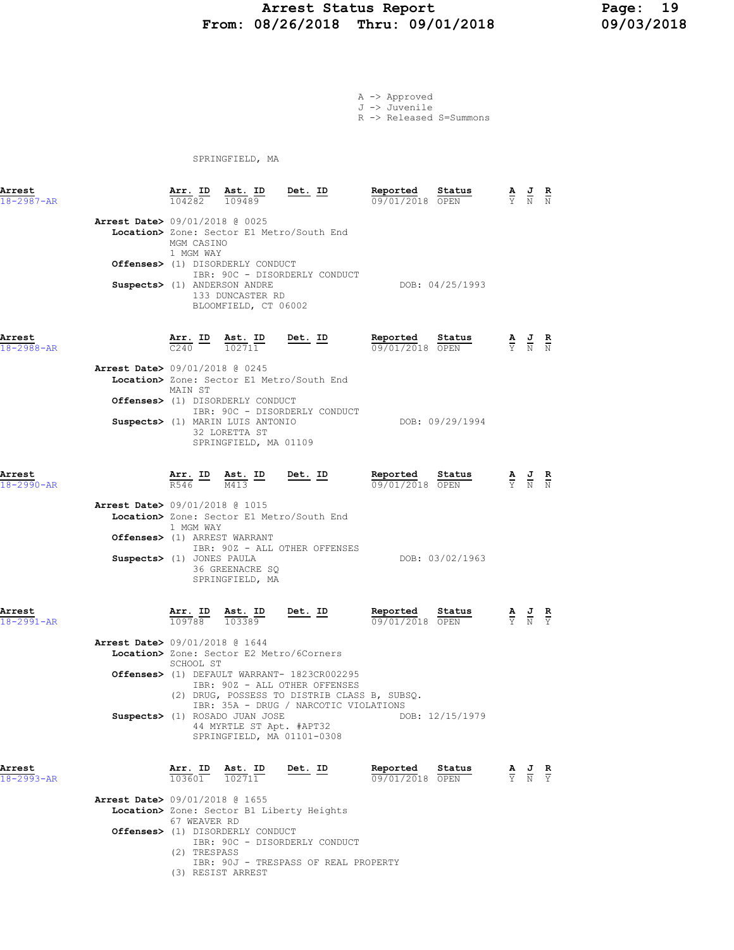#### Arrest Status Report 19<br>18/26/2018 Thru: 09/01/2018 19/03/2018 From: 08/26/2018 Thru: 09/01/2018

A -> Approved J -> Juvenile

R -> Released S=Summons

SPRINGFIELD, MA

(3) RESIST ARREST

| Arrest<br>$18 - 2987 - AR$ |                                                                | Arr. ID Ast. ID<br>104282 | 109489                                                                     | Det. ID                                                                                                                                                               | Reported<br>09/01/2018 OPEN | Status          | $\frac{\mathbf{A}}{\mathrm{Y}}$ $\frac{\mathbf{J}}{\mathrm{N}}$                                       | $\frac{R}{N}$ |
|----------------------------|----------------------------------------------------------------|---------------------------|----------------------------------------------------------------------------|-----------------------------------------------------------------------------------------------------------------------------------------------------------------------|-----------------------------|-----------------|-------------------------------------------------------------------------------------------------------|---------------|
|                            | <b>Arrest Date&gt; 09/01/2018 @ 0025</b>                       | MGM CASINO<br>1 MGM WAY   | <b>Offenses&gt;</b> (1) DISORDERLY CONDUCT                                 | Location> Zone: Sector E1 Metro/South End                                                                                                                             |                             |                 |                                                                                                       |               |
|                            |                                                                |                           | Suspects> (1) ANDERSON ANDRE<br>133 DUNCASTER RD<br>BLOOMFIELD, CT 06002   | IBR: 90C - DISORDERLY CONDUCT                                                                                                                                         |                             | DOB: 04/25/1993 |                                                                                                       |               |
| Arrest<br>$18 - 2988 - AR$ |                                                                |                           | $\frac{\texttt{Arr.}}{\texttt{C240}}$ $\frac{\texttt{ID}}{102711}$         | $Det. ID$                                                                                                                                                             | Reported<br>09/01/2018 OPEN | Status          | $\frac{\mathbf{A}}{\overline{Y}}$ $\frac{\mathbf{J}}{\overline{N}}$ $\frac{\mathbf{R}}{\overline{N}}$ |               |
|                            | <b>Arrest Date&gt;</b> 09/01/2018 @ 0245                       | MAIN ST                   | <b>Offenses&gt;</b> (1) DISORDERLY CONDUCT                                 | Location> Zone: Sector E1 Metro/South End                                                                                                                             |                             |                 |                                                                                                       |               |
|                            |                                                                |                           | Suspects> (1) MARIN LUIS ANTONIO<br>32 LORETTA ST<br>SPRINGFIELD, MA 01109 | IBR: 90C - DISORDERLY CONDUCT                                                                                                                                         |                             | DOB: 09/29/1994 |                                                                                                       |               |
| Arrest<br>$18 - 2990 - AR$ |                                                                | Arr. ID<br>R546           |                                                                            | $rac{\text{Ast.}}{M413}$ ID Det. ID                                                                                                                                   | Reported<br>09/01/2018 OPEN | Status          | $\frac{\mathbf{A}}{\overline{Y}}$ $\frac{\mathbf{J}}{\overline{N}}$ $\frac{\mathbf{R}}{\overline{N}}$ |               |
|                            | Arrest Date> 09/01/2018 @ 1015<br>Offenses> (1) ARREST WARRANT | 1 MGM WAY                 |                                                                            | Location> Zone: Sector E1 Metro/South End                                                                                                                             |                             |                 |                                                                                                       |               |
|                            | Suspects> (1) JONES PAULA                                      |                           | 36 GREENACRE SQ<br>SPRINGFIELD, MA                                         | IBR: 90Z - ALL OTHER OFFENSES                                                                                                                                         |                             | DOB: 03/02/1963 |                                                                                                       |               |
| Arrest<br>$18 - 2991 - AR$ |                                                                |                           | $\frac{\texttt{Arr.}}{109788}$ $\frac{\texttt{ Ast.}}{103389}$             | $Det. ID$                                                                                                                                                             | Reported<br>09/01/2018 OPEN | Status          | $\frac{\mathbf{A}}{\mathbf{Y}}$ $\frac{\mathbf{J}}{\mathbf{N}}$ $\frac{\mathbf{R}}{\mathbf{Y}}$       |               |
|                            | Arrest Date> 09/01/2018 @ 1644                                 | SCHOOL ST                 |                                                                            | Location> Zone: Sector E2 Metro/6Corners                                                                                                                              |                             |                 |                                                                                                       |               |
|                            |                                                                |                           |                                                                            | Offenses> (1) DEFAULT WARRANT- 1823CR002295<br>IBR: 90Z - ALL OTHER OFFENSES<br>(2) DRUG, POSSESS TO DISTRIB CLASS B, SUBSQ.<br>IBR: 35A - DRUG / NARCOTIC VIOLATIONS |                             |                 |                                                                                                       |               |
|                            |                                                                |                           | Suspects> (1) ROSADO JUAN JOSE<br>44 MYRTLE ST Apt. #APT32                 | SPRINGFIELD, MA 01101-0308                                                                                                                                            |                             | DOB: 12/15/1979 |                                                                                                       |               |
| Arrest<br>$18 - 2993 - AR$ |                                                                | Arr. ID<br>103601         | <b>Ast.</b> ID<br>$\frac{102711}{}$                                        | Det. ID                                                                                                                                                               | Reported<br>09/01/2018 OPEN | Status          | $\frac{\mathbf{A}}{\mathbf{Y}}$ $\frac{\mathbf{J}}{\mathbf{N}}$ $\frac{\mathbf{R}}{\mathbf{Y}}$       |               |
|                            | <b>Arrest Date&gt; 09/01/2018 @ 1655</b>                       | 67 WEAVER RD              |                                                                            | Location> Zone: Sector B1 Liberty Heights                                                                                                                             |                             |                 |                                                                                                       |               |
|                            |                                                                | (2) TRESPASS              | Offenses> (1) DISORDERLY CONDUCT                                           | IBR: 90C - DISORDERLY CONDUCT<br>IBR: 90J - TRESPASS OF REAL PROPERTY                                                                                                 |                             |                 |                                                                                                       |               |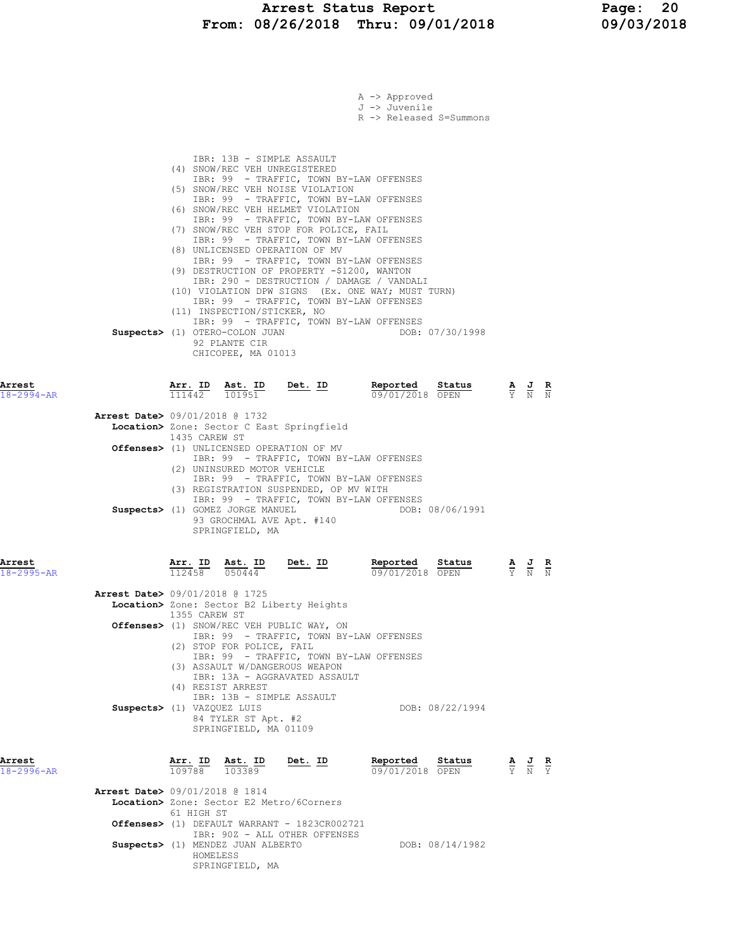# Arrest Status Report Page: 20<br>18/26/2018 Thru: 09/01/2018 09/03/2018 From:  $08/26/2018$  Thru:  $09/01/2018$

|                            | A -> Approved<br>J -> Juvenile<br>R -> Released S=Summons                                                                                                                                                                                                                                                                                                                                                                                                                                                                                                                                                                                                                                                                                                                                                |                                                                                                 |                                                                 |                        |
|----------------------------|----------------------------------------------------------------------------------------------------------------------------------------------------------------------------------------------------------------------------------------------------------------------------------------------------------------------------------------------------------------------------------------------------------------------------------------------------------------------------------------------------------------------------------------------------------------------------------------------------------------------------------------------------------------------------------------------------------------------------------------------------------------------------------------------------------|-------------------------------------------------------------------------------------------------|-----------------------------------------------------------------|------------------------|
|                            | IBR: 13B - SIMPLE ASSAULT<br>(4) SNOW/REC VEH UNREGISTERED<br>IBR: 99 - TRAFFIC, TOWN BY-LAW OFFENSES<br>(5) SNOW/REC VEH NOISE VIOLATION<br>IBR: 99 - TRAFFIC, TOWN BY-LAW OFFENSES<br>(6) SNOW/REC VEH HELMET VIOLATION<br>IBR: 99 - TRAFFIC, TOWN BY-LAW OFFENSES<br>(7) SNOW/REC VEH STOP FOR POLICE, FAIL<br>IBR: 99 - TRAFFIC, TOWN BY-LAW OFFENSES<br>(8) UNLICENSED OPERATION OF MV<br>IBR: 99 - TRAFFIC, TOWN BY-LAW OFFENSES<br>(9) DESTRUCTION OF PROPERTY -\$1200, WANTON<br>IBR: 290 - DESTRUCTION / DAMAGE / VANDALI<br>(10) VIOLATION DPW SIGNS (Ex. ONE WAY; MUST TURN)<br>IBR: 99 - TRAFFIC, TOWN BY-LAW OFFENSES<br>(11) INSPECTION/STICKER, NO<br>IBR: 99 - TRAFFIC, TOWN BY-LAW OFFENSES<br>Suspects> (1) OTERO-COLON JUAN<br>DOB: 07/30/1998<br>92 PLANTE CIR<br>CHICOPEE, MA 01013 |                                                                                                 |                                                                 |                        |
| Arrest<br>18-2994-AR       | $\frac{\text{Arr.}}{111442}$ $\frac{\text{B}}{101951}$ $\frac{\text{Det.}}{10195}$<br>Reported Status<br>$\overline{111442}$ $\overline{101951}$<br>09/01/2018 OPEN                                                                                                                                                                                                                                                                                                                                                                                                                                                                                                                                                                                                                                      | $\frac{\mathbf{A}}{\mathbf{Y}}$ $\frac{\mathbf{J}}{\mathbf{N}}$ $\frac{\mathbf{R}}{\mathbf{N}}$ |                                                                 |                        |
|                            | <b>Arrest Date&gt;</b> 09/01/2018 @ 1732<br>Location> Zone: Sector C East Springfield                                                                                                                                                                                                                                                                                                                                                                                                                                                                                                                                                                                                                                                                                                                    |                                                                                                 |                                                                 |                        |
|                            | 1435 CAREW ST                                                                                                                                                                                                                                                                                                                                                                                                                                                                                                                                                                                                                                                                                                                                                                                            |                                                                                                 |                                                                 |                        |
|                            | <b>Offenses&gt;</b> (1) UNLICENSED OPERATION OF MV<br>IBR: 99 - TRAFFIC, TOWN BY-LAW OFFENSES<br>(2) UNINSURED MOTOR VEHICLE<br>IBR: 99 - TRAFFIC, TOWN BY-LAW OFFENSES<br>(3) REGISTRATION SUSPENDED, OP MV WITH                                                                                                                                                                                                                                                                                                                                                                                                                                                                                                                                                                                        |                                                                                                 |                                                                 |                        |
|                            | IBR: 99 - TRAFFIC, TOWN BY-LAW OFFENSES<br>Suspects> (1) GOMEZ JORGE MANUEL<br>DOB: 08/06/1991<br>93 GROCHMAL AVE Apt. #140<br>SPRINGFIELD, MA                                                                                                                                                                                                                                                                                                                                                                                                                                                                                                                                                                                                                                                           |                                                                                                 |                                                                 |                        |
| Arrest<br>18-2995-AR       | Det. ID<br>Reported<br>Status<br>Arr. ID<br>Ast. ID<br>112458<br>050444<br>09/01/2018 OPEN                                                                                                                                                                                                                                                                                                                                                                                                                                                                                                                                                                                                                                                                                                               |                                                                                                 | $\frac{\mathbf{A}}{\mathbf{Y}}$ $\frac{\mathbf{J}}{\mathbf{N}}$ | $\frac{\mathbf{R}}{N}$ |
|                            | Arrest Date> 09/01/2018 @ 1725<br>Location> Zone: Sector B2 Liberty Heights                                                                                                                                                                                                                                                                                                                                                                                                                                                                                                                                                                                                                                                                                                                              |                                                                                                 |                                                                 |                        |
|                            | 1355 CAREW ST                                                                                                                                                                                                                                                                                                                                                                                                                                                                                                                                                                                                                                                                                                                                                                                            |                                                                                                 |                                                                 |                        |
|                            | <b>Offenses&gt;</b> (1) SNOW/REC VEH PUBLIC WAY, ON<br>IBR: 99 - TRAFFIC, TOWN BY-LAW OFFENSES<br>(2) STOP FOR POLICE, FAIL<br>IBR: 99 - TRAFFIC, TOWN BY-LAW OFFENSES<br>(3) ASSAULT W/DANGEROUS WEAPON<br>IBR: 13A - AGGRAVATED ASSAULT                                                                                                                                                                                                                                                                                                                                                                                                                                                                                                                                                                |                                                                                                 |                                                                 |                        |
|                            | (4) RESIST ARREST<br>IBR: 13B - SIMPLE ASSAULT<br>Suspects> (1) VAZQUEZ LUIS<br>DOB: 08/22/1994<br>84 TYLER ST Apt. #2<br>SPRINGFIELD, MA 01109                                                                                                                                                                                                                                                                                                                                                                                                                                                                                                                                                                                                                                                          |                                                                                                 |                                                                 |                        |
| Arrest<br>$18 - 2996 - AR$ | Arr. ID Ast. ID<br>Det. ID<br>Reported<br>Status<br>109788 103389<br>09/01/2018 OPEN                                                                                                                                                                                                                                                                                                                                                                                                                                                                                                                                                                                                                                                                                                                     | $\frac{\mathbf{A}}{\mathbf{Y}}$ $\frac{\mathbf{J}}{\mathbf{N}}$ $\frac{\mathbf{R}}{\mathbf{Y}}$ |                                                                 |                        |
|                            | Arrest Date> 09/01/2018 @ 1814<br>Location> Zone: Sector E2 Metro/6Corners                                                                                                                                                                                                                                                                                                                                                                                                                                                                                                                                                                                                                                                                                                                               |                                                                                                 |                                                                 |                        |
|                            | 61 HIGH ST                                                                                                                                                                                                                                                                                                                                                                                                                                                                                                                                                                                                                                                                                                                                                                                               |                                                                                                 |                                                                 |                        |
|                            | Offenses> (1) DEFAULT WARRANT - 1823CR002721<br>IBR: 90Z - ALL OTHER OFFENSES                                                                                                                                                                                                                                                                                                                                                                                                                                                                                                                                                                                                                                                                                                                            |                                                                                                 |                                                                 |                        |
|                            | Suspects> (1) MENDEZ JUAN ALBERTO<br>DOB: 08/14/1982<br>HOMELESS<br>SPRINGFIELD, MA                                                                                                                                                                                                                                                                                                                                                                                                                                                                                                                                                                                                                                                                                                                      |                                                                                                 |                                                                 |                        |